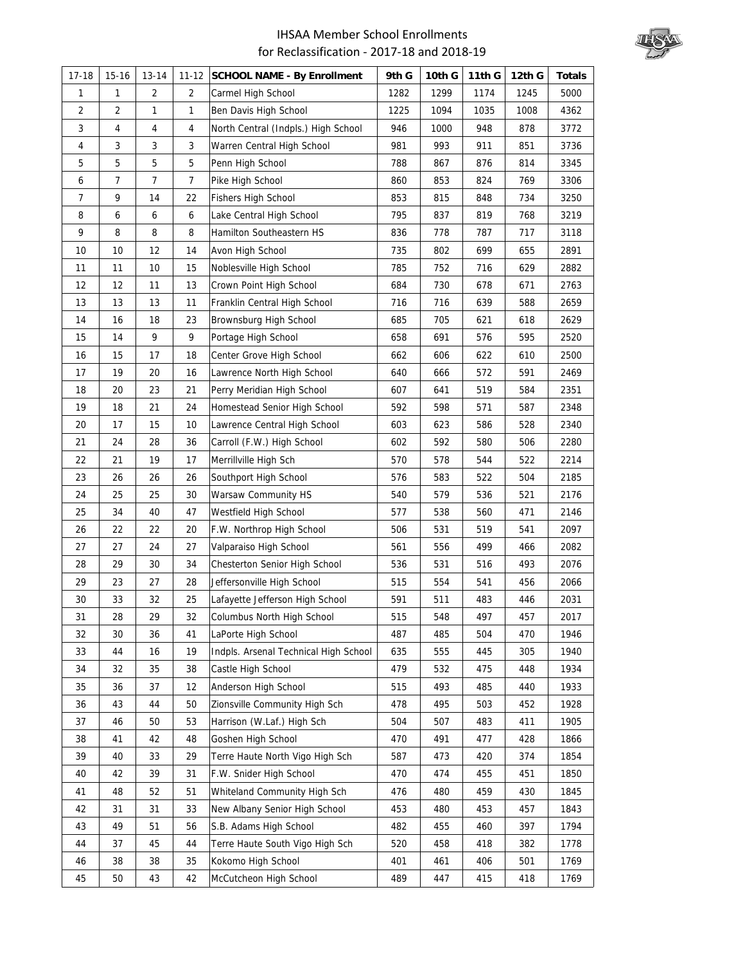

| $17-18$ | $15-16$ | $13 - 14$      | $11 - 12$      | <b>SCHOOL NAME - By Enrollment</b>    | 9th G | 10th G | 11th G | 12th G | <b>Totals</b> |
|---------|---------|----------------|----------------|---------------------------------------|-------|--------|--------|--------|---------------|
| 1       | 1       | $\overline{2}$ | $\overline{2}$ | Carmel High School                    | 1282  | 1299   | 1174   | 1245   | 5000          |
| 2       | 2       | 1              | 1              | Ben Davis High School                 | 1225  | 1094   | 1035   | 1008   | 4362          |
| 3       | 4       | 4              | 4              | North Central (Indpls.) High School   | 946   | 1000   | 948    | 878    | 3772          |
| 4       | 3       | 3              | 3              | Warren Central High School            | 981   | 993    | 911    | 851    | 3736          |
| 5       | 5       | 5              | 5              | Penn High School                      | 788   | 867    | 876    | 814    | 3345          |
| 6       | 7       | $\overline{7}$ | $\overline{7}$ | Pike High School                      | 860   | 853    | 824    | 769    | 3306          |
| 7       | 9       | 14             | 22             | <b>Fishers High School</b>            | 853   | 815    | 848    | 734    | 3250          |
| 8       | 6       | 6              | 6              | Lake Central High School              | 795   | 837    | 819    | 768    | 3219          |
| 9       | 8       | 8              | 8              | Hamilton Southeastern HS              | 836   | 778    | 787    | 717    | 3118          |
| 10      | 10      | 12             | 14             | Avon High School                      | 735   | 802    | 699    | 655    | 2891          |
| 11      | 11      | 10             | 15             | Noblesville High School               | 785   | 752    | 716    | 629    | 2882          |
| 12      | 12      | 11             | 13             | Crown Point High School               | 684   | 730    | 678    | 671    | 2763          |
| 13      | 13      | 13             | 11             | Franklin Central High School          | 716   | 716    | 639    | 588    | 2659          |
| 14      | 16      | 18             | 23             | Brownsburg High School                | 685   | 705    | 621    | 618    | 2629          |
| 15      | 14      | 9              | 9              | Portage High School                   | 658   | 691    | 576    | 595    | 2520          |
| 16      | 15      | 17             | 18             | Center Grove High School              | 662   | 606    | 622    | 610    | 2500          |
| 17      | 19      | 20             | 16             | Lawrence North High School            | 640   | 666    | 572    | 591    | 2469          |
| 18      | 20      | 23             | 21             | Perry Meridian High School            | 607   | 641    | 519    | 584    | 2351          |
| 19      | 18      | 21             | 24             | Homestead Senior High School          | 592   | 598    | 571    | 587    | 2348          |
| 20      | 17      | 15             | 10             | Lawrence Central High School          | 603   | 623    | 586    | 528    | 2340          |
| 21      | 24      | 28             | 36             | Carroll (F.W.) High School            | 602   | 592    | 580    | 506    | 2280          |
| 22      | 21      | 19             | 17             | Merrillville High Sch                 | 570   | 578    | 544    | 522    | 2214          |
| 23      | 26      | 26             | 26             | Southport High School                 | 576   | 583    | 522    | 504    | 2185          |
| 24      | 25      | 25             | 30             | Warsaw Community HS                   | 540   | 579    | 536    | 521    | 2176          |
| 25      | 34      | 40             | 47             | Westfield High School                 | 577   | 538    | 560    | 471    | 2146          |
| 26      | 22      | 22             | 20             | F.W. Northrop High School             | 506   | 531    | 519    | 541    | 2097          |
| 27      | 27      | 24             | 27             | Valparaiso High School                | 561   | 556    | 499    | 466    | 2082          |
| 28      | 29      | 30             | 34             | Chesterton Senior High School         | 536   | 531    | 516    | 493    | 2076          |
| 29      | 23      | 27             | 28             | Jeffersonville High School            | 515   | 554    | 541    | 456    | 2066          |
| 30      | 33      | 32             | 25             | Lafayette Jefferson High School       | 591   | 511    | 483    | 446    | 2031          |
| 31      | 28      | 29             | 32             | Columbus North High School            | 515   | 548    | 497    | 457    | 2017          |
| 32      | 30      | 36             | 41             | LaPorte High School                   | 487   | 485    | 504    | 470    | 1946          |
| 33      | 44      | 16             | 19             | Indpls. Arsenal Technical High School | 635   | 555    | 445    | 305    | 1940          |
| 34      | 32      | 35             | 38             | Castle High School                    | 479   | 532    | 475    | 448    | 1934          |
| 35      | 36      | 37             | 12             | Anderson High School                  | 515   | 493    | 485    | 440    | 1933          |
| 36      | 43      | 44             | 50             | Zionsville Community High Sch         | 478   | 495    | 503    | 452    | 1928          |
| 37      | 46      | 50             | 53             | Harrison (W.Laf.) High Sch            | 504   | 507    | 483    | 411    | 1905          |
| 38      | 41      | 42             | 48             | Goshen High School                    | 470   | 491    | 477    | 428    | 1866          |
| 39      | 40      | 33             | 29             | Terre Haute North Vigo High Sch       | 587   | 473    | 420    | 374    | 1854          |
| 40      | 42      | 39             | 31             | F.W. Snider High School               | 470   | 474    | 455    | 451    | 1850          |
| 41      | 48      | 52             | 51             | Whiteland Community High Sch          | 476   | 480    | 459    | 430    | 1845          |
| 42      | 31      | 31             | 33             | New Albany Senior High School         | 453   | 480    | 453    | 457    | 1843          |
| 43      | 49      | 51             | 56             | S.B. Adams High School                | 482   | 455    | 460    | 397    | 1794          |
| 44      | 37      | 45             | 44             | Terre Haute South Vigo High Sch       | 520   | 458    | 418    | 382    | 1778          |
| 46      | 38      | 38             | 35             | Kokomo High School                    | 401   | 461    | 406    | 501    | 1769          |
| 45      | 50      | 43             | 42             | McCutcheon High School                | 489   | 447    | 415    | 418    | 1769          |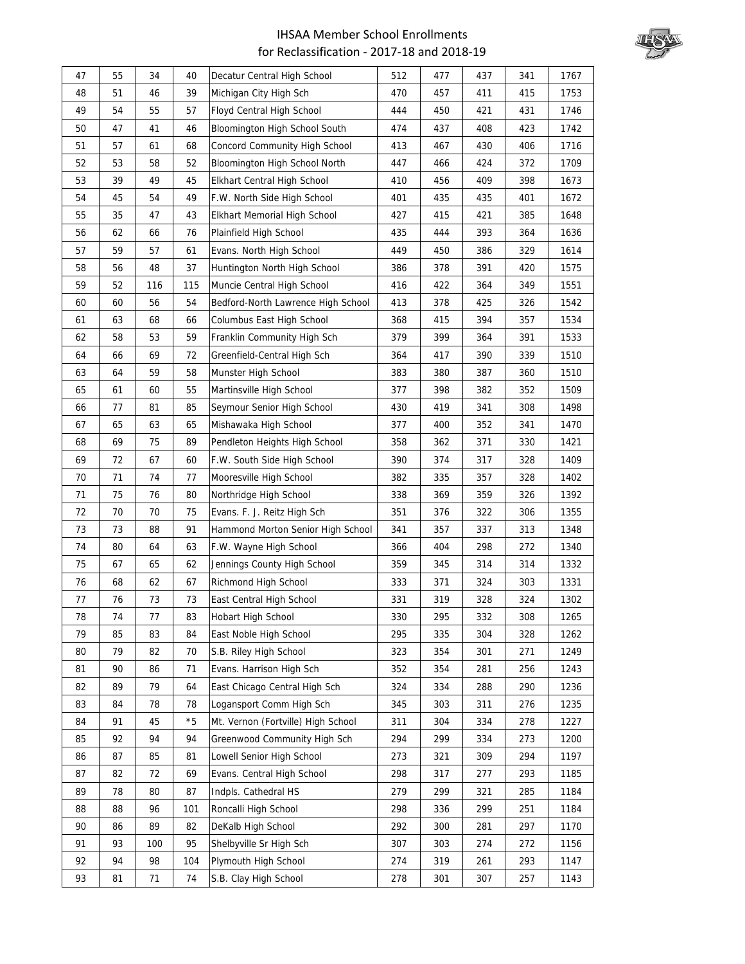

| 47 | 55 | 34  | 40   | Decatur Central High School        | 512 | 477 | 437 | 341 | 1767 |
|----|----|-----|------|------------------------------------|-----|-----|-----|-----|------|
| 48 | 51 | 46  | 39   | Michigan City High Sch             | 470 | 457 | 411 | 415 | 1753 |
| 49 | 54 | 55  | 57   | Floyd Central High School          | 444 | 450 | 421 | 431 | 1746 |
| 50 | 47 | 41  | 46   | Bloomington High School South      | 474 | 437 | 408 | 423 | 1742 |
| 51 | 57 | 61  | 68   | Concord Community High School      | 413 | 467 | 430 | 406 | 1716 |
| 52 | 53 | 58  | 52   | Bloomington High School North      | 447 | 466 | 424 | 372 | 1709 |
| 53 | 39 | 49  | 45   | Elkhart Central High School        | 410 | 456 | 409 | 398 | 1673 |
| 54 | 45 | 54  | 49   | F.W. North Side High School        | 401 | 435 | 435 | 401 | 1672 |
| 55 | 35 | 47  | 43   | Elkhart Memorial High School       | 427 | 415 | 421 | 385 | 1648 |
| 56 | 62 | 66  | 76   | Plainfield High School             | 435 | 444 | 393 | 364 | 1636 |
| 57 | 59 | 57  | 61   | Evans. North High School           | 449 | 450 | 386 | 329 | 1614 |
| 58 | 56 | 48  | 37   | Huntington North High School       | 386 | 378 | 391 | 420 | 1575 |
| 59 | 52 | 116 | 115  | Muncie Central High School         | 416 | 422 | 364 | 349 | 1551 |
| 60 | 60 | 56  | 54   | Bedford-North Lawrence High School | 413 | 378 | 425 | 326 | 1542 |
| 61 | 63 | 68  | 66   | Columbus East High School          | 368 | 415 | 394 | 357 | 1534 |
| 62 | 58 | 53  | 59   | Franklin Community High Sch        | 379 | 399 | 364 | 391 | 1533 |
| 64 | 66 | 69  | 72   | Greenfield-Central High Sch        | 364 | 417 | 390 | 339 | 1510 |
| 63 | 64 | 59  | 58   | Munster High School                | 383 | 380 | 387 | 360 | 1510 |
| 65 | 61 | 60  | 55   | Martinsville High School           | 377 | 398 | 382 | 352 | 1509 |
| 66 | 77 | 81  | 85   | Seymour Senior High School         | 430 | 419 | 341 | 308 | 1498 |
| 67 | 65 | 63  | 65   | Mishawaka High School              | 377 | 400 | 352 | 341 | 1470 |
| 68 | 69 | 75  | 89   | Pendleton Heights High School      | 358 | 362 | 371 | 330 | 1421 |
| 69 | 72 | 67  | 60   | F.W. South Side High School        | 390 | 374 | 317 | 328 | 1409 |
| 70 | 71 | 74  | 77   | Mooresville High School            | 382 | 335 | 357 | 328 | 1402 |
| 71 | 75 | 76  | 80   | Northridge High School             | 338 | 369 | 359 | 326 | 1392 |
| 72 | 70 | 70  | 75   | Evans. F. J. Reitz High Sch        | 351 | 376 | 322 | 306 | 1355 |
| 73 | 73 | 88  | 91   | Hammond Morton Senior High School  | 341 | 357 | 337 | 313 | 1348 |
| 74 | 80 | 64  | 63   | F.W. Wayne High School             | 366 | 404 | 298 | 272 | 1340 |
| 75 | 67 | 65  | 62   | Jennings County High School        | 359 | 345 | 314 | 314 | 1332 |
| 76 | 68 | 62  | 67   | Richmond High School               | 333 | 371 | 324 | 303 | 1331 |
| 77 | 76 | 73  | 73   | East Central High School           | 331 | 319 | 328 | 324 | 1302 |
| 78 | 74 | 77  | 83   | Hobart High School                 | 330 | 295 | 332 | 308 | 1265 |
| 79 | 85 | 83  | 84   | East Noble High School             | 295 | 335 | 304 | 328 | 1262 |
| 80 | 79 | 82  | 70   | S.B. Riley High School             | 323 | 354 | 301 | 271 | 1249 |
| 81 | 90 | 86  | 71   | Evans. Harrison High Sch           | 352 | 354 | 281 | 256 | 1243 |
| 82 | 89 | 79  | 64   | East Chicago Central High Sch      | 324 | 334 | 288 | 290 | 1236 |
| 83 | 84 | 78  | 78   | Logansport Comm High Sch           | 345 | 303 | 311 | 276 | 1235 |
| 84 | 91 | 45  | $*5$ | Mt. Vernon (Fortville) High School | 311 | 304 | 334 | 278 | 1227 |
| 85 | 92 | 94  | 94   | Greenwood Community High Sch       | 294 | 299 | 334 | 273 | 1200 |
| 86 | 87 | 85  | 81   | Lowell Senior High School          | 273 | 321 | 309 | 294 | 1197 |
| 87 | 82 | 72  | 69   | Evans. Central High School         | 298 | 317 | 277 | 293 | 1185 |
| 89 | 78 | 80  | 87   | Indpls. Cathedral HS               | 279 | 299 | 321 | 285 | 1184 |
| 88 | 88 | 96  | 101  | Roncalli High School               | 298 | 336 | 299 | 251 | 1184 |
| 90 | 86 | 89  | 82   | DeKalb High School                 | 292 | 300 | 281 | 297 | 1170 |
| 91 | 93 | 100 | 95   | Shelbyville Sr High Sch            | 307 | 303 | 274 | 272 | 1156 |
| 92 | 94 | 98  | 104  | Plymouth High School               | 274 | 319 | 261 | 293 | 1147 |
| 93 | 81 | 71  | 74   | S.B. Clay High School              | 278 | 301 | 307 | 257 | 1143 |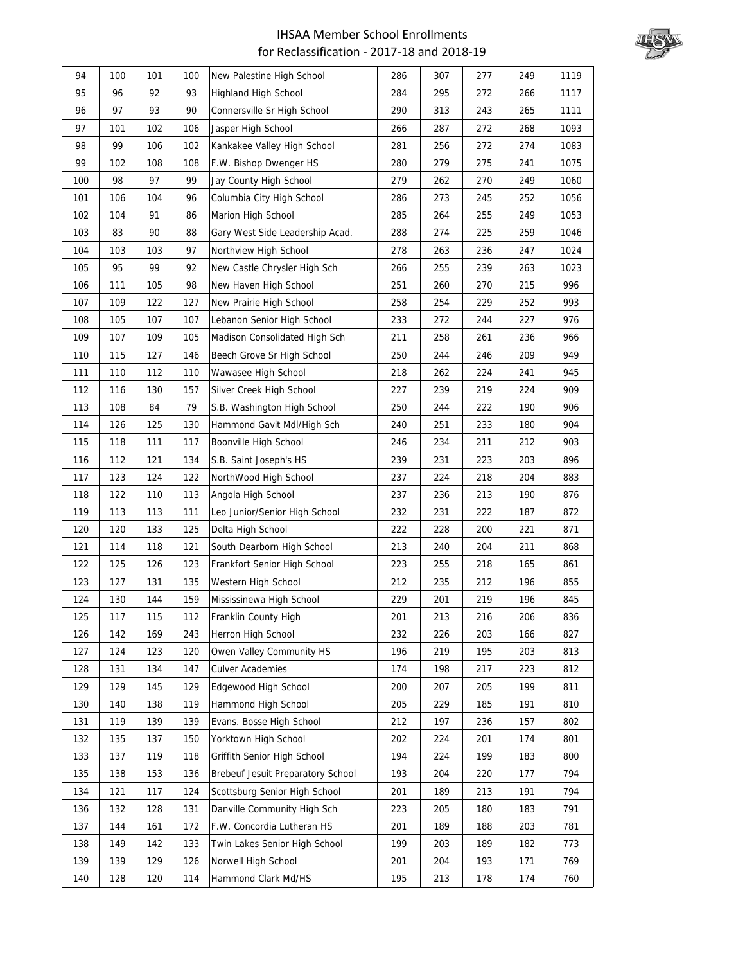

| 94  | 100 | 101 | 100 | New Palestine High School         | 286 | 307 | 277 | 249 | 1119 |
|-----|-----|-----|-----|-----------------------------------|-----|-----|-----|-----|------|
| 95  | 96  | 92  | 93  | Highland High School              | 284 | 295 | 272 | 266 | 1117 |
| 96  | 97  | 93  | 90  | Connersville Sr High School       | 290 | 313 | 243 | 265 | 1111 |
| 97  | 101 | 102 | 106 | Jasper High School                | 266 | 287 | 272 | 268 | 1093 |
| 98  | 99  | 106 | 102 | Kankakee Valley High School       | 281 | 256 | 272 | 274 | 1083 |
| 99  | 102 | 108 | 108 | F.W. Bishop Dwenger HS            | 280 | 279 | 275 | 241 | 1075 |
| 100 | 98  | 97  | 99  | Jay County High School            | 279 | 262 | 270 | 249 | 1060 |
| 101 | 106 | 104 | 96  | Columbia City High School         | 286 | 273 | 245 | 252 | 1056 |
| 102 | 104 | 91  | 86  | Marion High School                | 285 | 264 | 255 | 249 | 1053 |
| 103 | 83  | 90  | 88  | Gary West Side Leadership Acad.   | 288 | 274 | 225 | 259 | 1046 |
| 104 | 103 | 103 | 97  | Northview High School             | 278 | 263 | 236 | 247 | 1024 |
| 105 | 95  | 99  | 92  | New Castle Chrysler High Sch      | 266 | 255 | 239 | 263 | 1023 |
| 106 | 111 | 105 | 98  | New Haven High School             | 251 | 260 | 270 | 215 | 996  |
| 107 | 109 | 122 | 127 | New Prairie High School           | 258 | 254 | 229 | 252 | 993  |
| 108 | 105 | 107 | 107 | Lebanon Senior High School        | 233 | 272 | 244 | 227 | 976  |
| 109 | 107 | 109 | 105 | Madison Consolidated High Sch     | 211 | 258 | 261 | 236 | 966  |
| 110 | 115 | 127 | 146 | Beech Grove Sr High School        | 250 | 244 | 246 | 209 | 949  |
| 111 | 110 | 112 | 110 | Wawasee High School               | 218 | 262 | 224 | 241 | 945  |
| 112 | 116 | 130 | 157 | Silver Creek High School          | 227 | 239 | 219 | 224 | 909  |
| 113 | 108 | 84  | 79  | S.B. Washington High School       | 250 | 244 | 222 | 190 | 906  |
| 114 | 126 | 125 | 130 | Hammond Gavit Mdl/High Sch        | 240 | 251 | 233 | 180 | 904  |
| 115 | 118 | 111 | 117 | Boonville High School             | 246 | 234 | 211 | 212 | 903  |
| 116 | 112 | 121 | 134 | S.B. Saint Joseph's HS            | 239 | 231 | 223 | 203 | 896  |
| 117 | 123 | 124 | 122 | NorthWood High School             | 237 | 224 | 218 | 204 | 883  |
| 118 | 122 | 110 | 113 | Angola High School                | 237 | 236 | 213 | 190 | 876  |
| 119 | 113 | 113 | 111 | Leo Junior/Senior High School     | 232 | 231 | 222 | 187 | 872  |
| 120 | 120 | 133 | 125 | Delta High School                 | 222 | 228 | 200 | 221 | 871  |
| 121 | 114 | 118 | 121 | South Dearborn High School        | 213 | 240 | 204 | 211 | 868  |
| 122 | 125 | 126 | 123 | Frankfort Senior High School      | 223 | 255 | 218 | 165 | 861  |
| 123 | 127 | 131 | 135 | Western High School               | 212 | 235 | 212 | 196 | 855  |
| 124 | 130 | 144 | 159 | Mississinewa High School          | 229 | 201 | 219 | 196 | 845  |
| 125 | 117 | 115 | 112 | Franklin County High              | 201 | 213 | 216 | 206 | 836  |
| 126 | 142 | 169 | 243 | Herron High School                | 232 | 226 | 203 | 166 | 827  |
| 127 | 124 | 123 | 120 | Owen Valley Community HS          | 196 | 219 | 195 | 203 | 813  |
| 128 | 131 | 134 | 147 | <b>Culver Academies</b>           | 174 | 198 | 217 | 223 | 812  |
| 129 | 129 | 145 | 129 | Edgewood High School              | 200 | 207 | 205 | 199 | 811  |
| 130 | 140 | 138 | 119 | Hammond High School               | 205 | 229 | 185 | 191 | 810  |
| 131 | 119 | 139 | 139 | Evans. Bosse High School          | 212 | 197 | 236 | 157 | 802  |
| 132 | 135 | 137 | 150 | Yorktown High School              | 202 | 224 | 201 | 174 | 801  |
| 133 | 137 | 119 | 118 | Griffith Senior High School       | 194 | 224 | 199 | 183 | 800  |
| 135 | 138 | 153 | 136 | Brebeuf Jesuit Preparatory School | 193 | 204 | 220 | 177 | 794  |
| 134 | 121 | 117 | 124 | Scottsburg Senior High School     | 201 | 189 | 213 | 191 | 794  |
| 136 | 132 | 128 | 131 | Danville Community High Sch       | 223 | 205 | 180 | 183 | 791  |
| 137 | 144 | 161 | 172 | F.W. Concordia Lutheran HS        | 201 | 189 | 188 | 203 | 781  |
| 138 | 149 | 142 | 133 | Twin Lakes Senior High School     | 199 | 203 | 189 | 182 | 773  |
| 139 | 139 | 129 | 126 | Norwell High School               | 201 | 204 | 193 | 171 | 769  |
| 140 | 128 | 120 | 114 | Hammond Clark Md/HS               | 195 | 213 | 178 | 174 | 760  |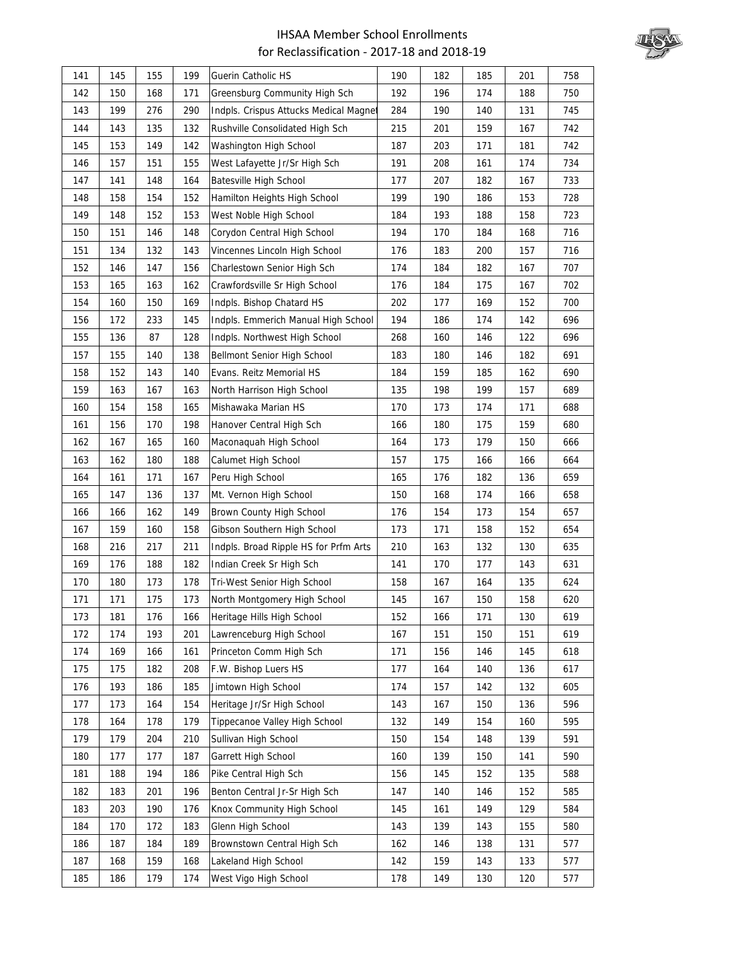

| 141 | 145 | 155 | 199 | Guerin Catholic HS                    | 190 | 182 | 185 | 201 | 758 |
|-----|-----|-----|-----|---------------------------------------|-----|-----|-----|-----|-----|
| 142 | 150 | 168 | 171 | Greensburg Community High Sch         | 192 | 196 | 174 | 188 | 750 |
| 143 | 199 | 276 | 290 | Indpls. Crispus Attucks Medical Magne | 284 | 190 | 140 | 131 | 745 |
| 144 | 143 | 135 | 132 | Rushville Consolidated High Sch       | 215 | 201 | 159 | 167 | 742 |
| 145 | 153 | 149 | 142 | Washington High School                | 187 | 203 | 171 | 181 | 742 |
| 146 | 157 | 151 | 155 | West Lafayette Jr/Sr High Sch         | 191 | 208 | 161 | 174 | 734 |
| 147 | 141 | 148 | 164 | Batesville High School                | 177 | 207 | 182 | 167 | 733 |
| 148 | 158 | 154 | 152 | Hamilton Heights High School          | 199 | 190 | 186 | 153 | 728 |
| 149 | 148 | 152 | 153 | West Noble High School                | 184 | 193 | 188 | 158 | 723 |
| 150 | 151 | 146 | 148 | Corydon Central High School           | 194 | 170 | 184 | 168 | 716 |
| 151 | 134 | 132 | 143 | Vincennes Lincoln High School         | 176 | 183 | 200 | 157 | 716 |
| 152 | 146 | 147 | 156 | Charlestown Senior High Sch           | 174 | 184 | 182 | 167 | 707 |
| 153 | 165 | 163 | 162 | Crawfordsville Sr High School         | 176 | 184 | 175 | 167 | 702 |
| 154 | 160 | 150 | 169 | Indpls. Bishop Chatard HS             | 202 | 177 | 169 | 152 | 700 |
| 156 | 172 | 233 | 145 | Indpls. Emmerich Manual High School   | 194 | 186 | 174 | 142 | 696 |
| 155 | 136 | 87  | 128 | Indpls. Northwest High School         | 268 | 160 | 146 | 122 | 696 |
| 157 | 155 | 140 | 138 | Bellmont Senior High School           | 183 | 180 | 146 | 182 | 691 |
| 158 | 152 | 143 | 140 | Evans. Reitz Memorial HS              | 184 | 159 | 185 | 162 | 690 |
| 159 | 163 | 167 | 163 | North Harrison High School            | 135 | 198 | 199 | 157 | 689 |
| 160 | 154 | 158 | 165 | Mishawaka Marian HS                   | 170 | 173 | 174 | 171 | 688 |
| 161 | 156 | 170 | 198 | Hanover Central High Sch              | 166 | 180 | 175 | 159 | 680 |
| 162 | 167 | 165 | 160 | Maconaquah High School                | 164 | 173 | 179 | 150 | 666 |
| 163 | 162 | 180 | 188 | Calumet High School                   | 157 | 175 | 166 | 166 | 664 |
| 164 | 161 | 171 | 167 | Peru High School                      | 165 | 176 | 182 | 136 | 659 |
| 165 | 147 | 136 | 137 | Mt. Vernon High School                | 150 | 168 | 174 | 166 | 658 |
| 166 | 166 | 162 | 149 | Brown County High School              | 176 | 154 | 173 | 154 | 657 |
| 167 | 159 | 160 | 158 | Gibson Southern High School           | 173 | 171 | 158 | 152 | 654 |
| 168 | 216 | 217 | 211 | Indpls. Broad Ripple HS for Prfm Arts | 210 | 163 | 132 | 130 | 635 |
| 169 | 176 | 188 | 182 | Indian Creek Sr High Sch              | 141 | 170 | 177 | 143 | 631 |
| 170 | 180 | 173 | 178 | Tri-West Senior High School           | 158 | 167 | 164 | 135 | 624 |
| 171 | 171 | 175 | 173 | North Montgomery High School          | 145 | 167 | 150 | 158 | 620 |
| 173 | 181 | 176 | 166 | Heritage Hills High School            | 152 | 166 | 171 | 130 | 619 |
| 172 | 174 | 193 | 201 | Lawrenceburg High School              | 167 | 151 | 150 | 151 | 619 |
| 174 | 169 | 166 | 161 | Princeton Comm High Sch               | 171 | 156 | 146 | 145 | 618 |
| 175 | 175 | 182 | 208 | F.W. Bishop Luers HS                  | 177 | 164 | 140 | 136 | 617 |
| 176 | 193 | 186 | 185 | Jimtown High School                   | 174 | 157 | 142 | 132 | 605 |
| 177 | 173 | 164 | 154 | Heritage Jr/Sr High School            | 143 | 167 | 150 | 136 | 596 |
| 178 | 164 | 178 | 179 | Tippecanoe Valley High School         | 132 | 149 | 154 | 160 | 595 |
| 179 | 179 | 204 | 210 | Sullivan High School                  | 150 | 154 | 148 | 139 | 591 |
| 180 | 177 | 177 | 187 | Garrett High School                   | 160 | 139 | 150 | 141 | 590 |
| 181 | 188 | 194 | 186 | Pike Central High Sch                 | 156 | 145 | 152 | 135 | 588 |
| 182 | 183 | 201 | 196 | Benton Central Jr-Sr High Sch         | 147 | 140 | 146 | 152 | 585 |
| 183 | 203 | 190 | 176 | Knox Community High School            | 145 | 161 | 149 | 129 | 584 |
| 184 | 170 | 172 | 183 | Glenn High School                     | 143 | 139 | 143 | 155 | 580 |
| 186 | 187 | 184 | 189 | Brownstown Central High Sch           | 162 | 146 | 138 | 131 | 577 |
| 187 | 168 | 159 | 168 | Lakeland High School                  | 142 | 159 | 143 | 133 | 577 |
| 185 | 186 | 179 | 174 | West Vigo High School                 | 178 | 149 | 130 | 120 | 577 |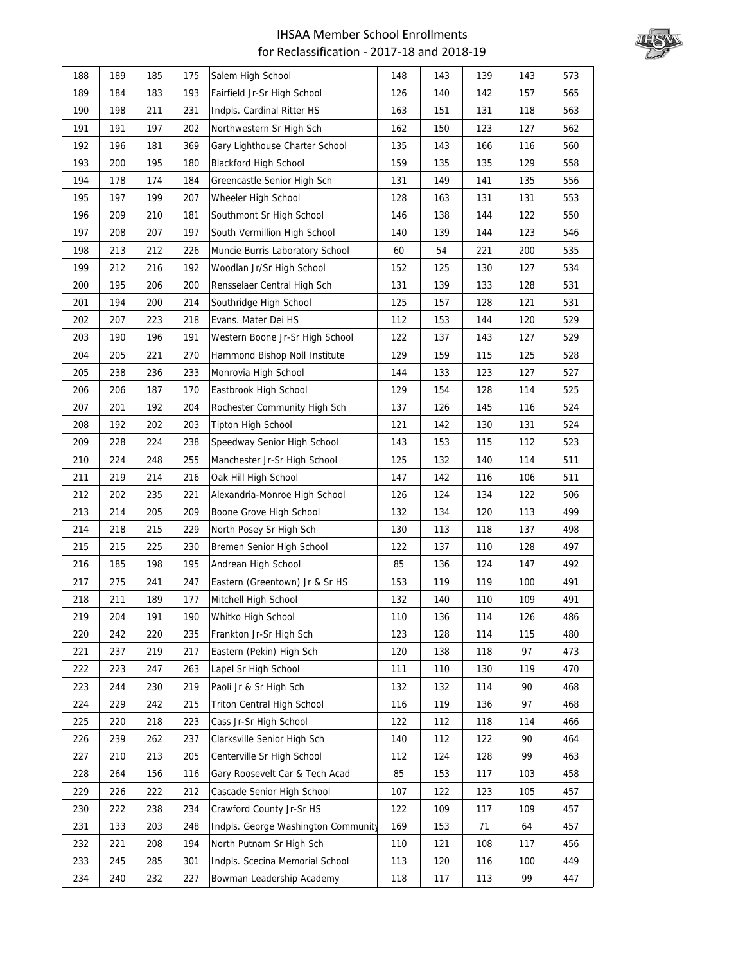

| 188 | 189 | 185 | 175 | Salem High School                   | 148 | 143 | 139 | 143 | 573 |
|-----|-----|-----|-----|-------------------------------------|-----|-----|-----|-----|-----|
| 189 | 184 | 183 | 193 | Fairfield Jr-Sr High School         | 126 | 140 | 142 | 157 | 565 |
| 190 | 198 | 211 | 231 | Indpls. Cardinal Ritter HS          | 163 | 151 | 131 | 118 | 563 |
| 191 | 191 | 197 | 202 | Northwestern Sr High Sch            | 162 | 150 | 123 | 127 | 562 |
| 192 | 196 | 181 | 369 | Gary Lighthouse Charter School      | 135 | 143 | 166 | 116 | 560 |
| 193 | 200 | 195 | 180 | <b>Blackford High School</b>        | 159 | 135 | 135 | 129 | 558 |
| 194 | 178 | 174 | 184 | Greencastle Senior High Sch         | 131 | 149 | 141 | 135 | 556 |
| 195 | 197 | 199 | 207 | Wheeler High School                 | 128 | 163 | 131 | 131 | 553 |
| 196 | 209 | 210 | 181 | Southmont Sr High School            | 146 | 138 | 144 | 122 | 550 |
| 197 | 208 | 207 | 197 | South Vermillion High School        | 140 | 139 | 144 | 123 | 546 |
| 198 | 213 | 212 | 226 | Muncie Burris Laboratory School     | 60  | 54  | 221 | 200 | 535 |
| 199 | 212 | 216 | 192 | Woodlan Jr/Sr High School           | 152 | 125 | 130 | 127 | 534 |
| 200 | 195 | 206 | 200 | Rensselaer Central High Sch         | 131 | 139 | 133 | 128 | 531 |
| 201 | 194 | 200 | 214 | Southridge High School              | 125 | 157 | 128 | 121 | 531 |
| 202 | 207 | 223 | 218 | Evans. Mater Dei HS                 | 112 | 153 | 144 | 120 | 529 |
| 203 | 190 | 196 | 191 | Western Boone Jr-Sr High School     | 122 | 137 | 143 | 127 | 529 |
| 204 | 205 | 221 | 270 | Hammond Bishop Noll Institute       | 129 | 159 | 115 | 125 | 528 |
| 205 | 238 | 236 | 233 | Monrovia High School                | 144 | 133 | 123 | 127 | 527 |
| 206 | 206 | 187 | 170 | Eastbrook High School               | 129 | 154 | 128 | 114 | 525 |
| 207 | 201 | 192 | 204 | Rochester Community High Sch        | 137 | 126 | 145 | 116 | 524 |
| 208 | 192 | 202 | 203 | Tipton High School                  | 121 | 142 | 130 | 131 | 524 |
| 209 | 228 | 224 | 238 | Speedway Senior High School         | 143 | 153 | 115 | 112 | 523 |
| 210 | 224 | 248 | 255 | Manchester Jr-Sr High School        | 125 | 132 | 140 | 114 | 511 |
| 211 | 219 | 214 | 216 | Oak Hill High School                | 147 | 142 | 116 | 106 | 511 |
| 212 | 202 | 235 | 221 | Alexandria-Monroe High School       | 126 | 124 | 134 | 122 | 506 |
| 213 | 214 | 205 | 209 | Boone Grove High School             | 132 | 134 | 120 | 113 | 499 |
| 214 | 218 | 215 | 229 | North Posey Sr High Sch             | 130 | 113 | 118 | 137 | 498 |
| 215 | 215 | 225 | 230 | Bremen Senior High School           | 122 | 137 | 110 | 128 | 497 |
| 216 | 185 | 198 | 195 | Andrean High School                 | 85  | 136 | 124 | 147 | 492 |
| 217 | 275 | 241 | 247 | Eastern (Greentown) Jr & Sr HS      | 153 | 119 | 119 | 100 | 491 |
| 218 | 211 | 189 | 177 | Mitchell High School                | 132 | 140 | 110 | 109 | 491 |
| 219 | 204 | 191 | 190 | Whitko High School                  | 110 | 136 | 114 | 126 | 486 |
| 220 | 242 | 220 | 235 | Frankton Jr-Sr High Sch             | 123 | 128 | 114 | 115 | 480 |
| 221 | 237 | 219 | 217 | Eastern (Pekin) High Sch            | 120 | 138 | 118 | 97  | 473 |
| 222 | 223 | 247 | 263 | Lapel Sr High School                | 111 | 110 | 130 | 119 | 470 |
| 223 | 244 | 230 | 219 | Paoli Jr & Sr High Sch              | 132 | 132 | 114 | 90  | 468 |
| 224 | 229 | 242 | 215 | <b>Triton Central High School</b>   | 116 | 119 | 136 | 97  | 468 |
| 225 | 220 | 218 | 223 | Cass Jr-Sr High School              | 122 | 112 | 118 | 114 | 466 |
| 226 | 239 | 262 | 237 | Clarksville Senior High Sch         | 140 | 112 | 122 | 90  | 464 |
| 227 | 210 | 213 | 205 | Centerville Sr High School          | 112 | 124 | 128 | 99  | 463 |
| 228 | 264 | 156 | 116 | Gary Roosevelt Car & Tech Acad      | 85  | 153 | 117 | 103 | 458 |
| 229 | 226 | 222 | 212 | Cascade Senior High School          | 107 | 122 | 123 | 105 | 457 |
| 230 | 222 | 238 | 234 | Crawford County Jr-Sr HS            | 122 | 109 | 117 | 109 | 457 |
| 231 | 133 | 203 | 248 | Indpls. George Washington Community | 169 | 153 | 71  | 64  | 457 |
| 232 | 221 | 208 | 194 | North Putnam Sr High Sch            | 110 | 121 | 108 | 117 | 456 |
| 233 | 245 | 285 | 301 | Indpls. Scecina Memorial School     | 113 | 120 | 116 | 100 | 449 |
| 234 | 240 | 232 | 227 | Bowman Leadership Academy           | 118 | 117 | 113 | 99  | 447 |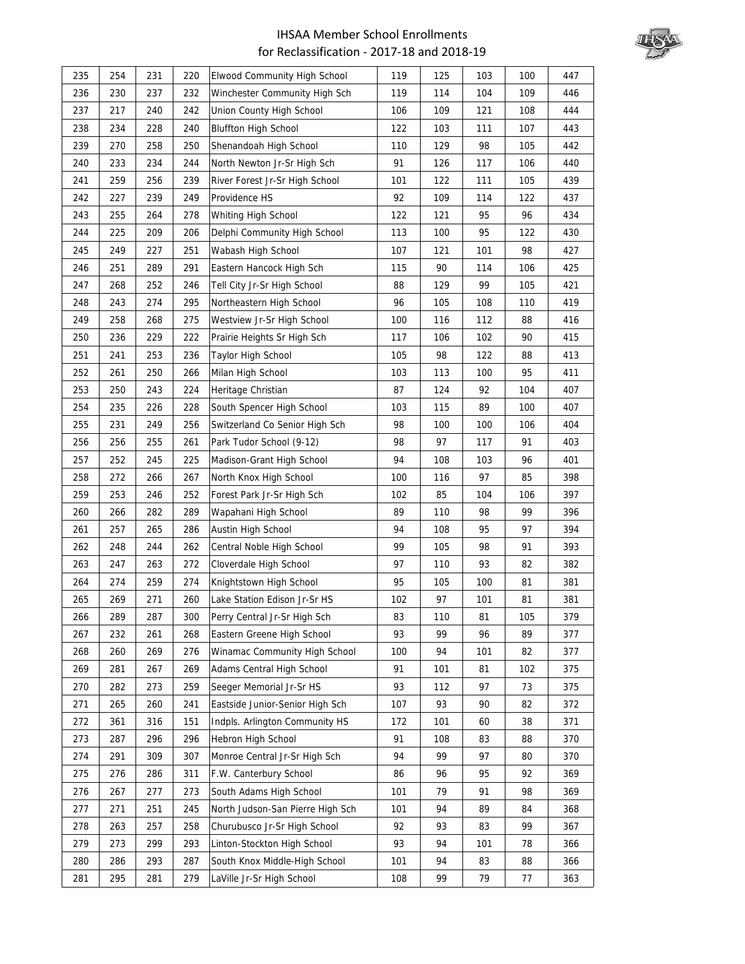

| 235 | 254 | 231 | 220 | Elwood Community High School     | 119 | 125 | 103 | 100 | 447 |
|-----|-----|-----|-----|----------------------------------|-----|-----|-----|-----|-----|
| 236 | 230 | 237 | 232 | Winchester Community High Sch    | 119 | 114 | 104 | 109 | 446 |
| 237 | 217 | 240 | 242 | Union County High School         | 106 | 109 | 121 | 108 | 444 |
| 238 | 234 | 228 | 240 | <b>Bluffton High School</b>      | 122 | 103 | 111 | 107 | 443 |
| 239 | 270 | 258 | 250 | Shenandoah High School           | 110 | 129 | 98  | 105 | 442 |
| 240 | 233 | 234 | 244 | North Newton Jr-Sr High Sch      | 91  | 126 | 117 | 106 | 440 |
| 241 | 259 | 256 | 239 | River Forest Jr-Sr High School   | 101 | 122 | 111 | 105 | 439 |
| 242 | 227 | 239 | 249 | Providence HS                    | 92  | 109 | 114 | 122 | 437 |
| 243 | 255 | 264 | 278 | Whiting High School              | 122 | 121 | 95  | 96  | 434 |
| 244 | 225 | 209 | 206 | Delphi Community High School     | 113 | 100 | 95  | 122 | 430 |
| 245 | 249 | 227 | 251 | Wabash High School               | 107 | 121 | 101 | 98  | 427 |
| 246 | 251 | 289 | 291 | Eastern Hancock High Sch         | 115 | 90  | 114 | 106 | 425 |
| 247 | 268 | 252 | 246 | Tell City Jr-Sr High School      | 88  | 129 | 99  | 105 | 421 |
| 248 | 243 | 274 | 295 | Northeastern High School         | 96  | 105 | 108 | 110 | 419 |
| 249 | 258 | 268 | 275 | Westview Jr-Sr High School       | 100 | 116 | 112 | 88  | 416 |
| 250 | 236 | 229 | 222 | Prairie Heights Sr High Sch      | 117 | 106 | 102 | 90  | 415 |
| 251 | 241 | 253 | 236 | <b>Taylor High School</b>        | 105 | 98  | 122 | 88  | 413 |
| 252 | 261 | 250 | 266 | Milan High School                | 103 | 113 | 100 | 95  | 411 |
| 253 | 250 | 243 | 224 | Heritage Christian               | 87  | 124 | 92  | 104 | 407 |
| 254 | 235 | 226 | 228 | South Spencer High School        | 103 | 115 | 89  | 100 | 407 |
| 255 | 231 | 249 | 256 | Switzerland Co Senior High Sch   | 98  | 100 | 100 | 106 | 404 |
| 256 | 256 | 255 | 261 | Park Tudor School (9-12)         | 98  | 97  | 117 | 91  | 403 |
| 257 | 252 | 245 | 225 | Madison-Grant High School        | 94  | 108 | 103 | 96  | 401 |
| 258 | 272 | 266 | 267 | North Knox High School           | 100 | 116 | 97  | 85  | 398 |
| 259 | 253 | 246 | 252 | Forest Park Jr-Sr High Sch       | 102 | 85  | 104 | 106 | 397 |
| 260 | 266 | 282 | 289 | Wapahani High School             | 89  | 110 | 98  | 99  | 396 |
| 261 | 257 | 265 | 286 | Austin High School               | 94  | 108 | 95  | 97  | 394 |
| 262 | 248 | 244 | 262 | Central Noble High School        | 99  | 105 | 98  | 91  | 393 |
| 263 | 247 | 263 | 272 | Cloverdale High School           | 97  | 110 | 93  | 82  | 382 |
| 264 | 274 | 259 | 274 | Knightstown High School          | 95  | 105 | 100 | 81  | 381 |
| 265 | 269 | 271 | 260 | Lake Station Edison Jr-Sr HS     | 102 | 97  | 101 | 81  | 381 |
| 266 | 289 | 287 | 300 | Perry Central Jr-Sr High Sch     | 83  | 110 | 81  | 105 | 379 |
| 267 | 232 | 261 | 268 | Eastern Greene High School       | 93  | 99  | 96  | 89  | 377 |
| 268 | 260 | 269 | 276 | Winamac Community High School    | 100 | 94  | 101 | 82  | 377 |
| 269 | 281 | 267 | 269 | Adams Central High School        | 91  | 101 | 81  | 102 | 375 |
| 270 | 282 | 273 | 259 | Seeger Memorial Jr-Sr HS         | 93  | 112 | 97  | 73  | 375 |
| 271 | 265 | 260 | 241 | Eastside Junior-Senior High Sch  | 107 | 93  | 90  | 82  | 372 |
| 272 | 361 | 316 | 151 | Indpls. Arlington Community HS   | 172 | 101 | 60  | 38  | 371 |
| 273 | 287 | 296 | 296 | Hebron High School               | 91  | 108 | 83  | 88  | 370 |
| 274 | 291 | 309 | 307 | Monroe Central Jr-Sr High Sch    | 94  | 99  | 97  | 80  | 370 |
| 275 | 276 | 286 | 311 | F.W. Canterbury School           | 86  | 96  | 95  | 92  | 369 |
| 276 | 267 | 277 | 273 | South Adams High School          | 101 | 79  | 91  | 98  | 369 |
| 277 | 271 | 251 | 245 | North Judson-San Pierre High Sch | 101 | 94  | 89  | 84  | 368 |
| 278 | 263 | 257 | 258 | Churubusco Jr-Sr High School     | 92  | 93  | 83  | 99  | 367 |
| 279 | 273 | 299 | 293 | Linton-Stockton High School      | 93  | 94  | 101 | 78  | 366 |
| 280 | 286 | 293 | 287 | South Knox Middle-High School    | 101 | 94  | 83  | 88  | 366 |
| 281 | 295 | 281 | 279 | LaVille Jr-Sr High School        | 108 | 99  | 79  | 77  | 363 |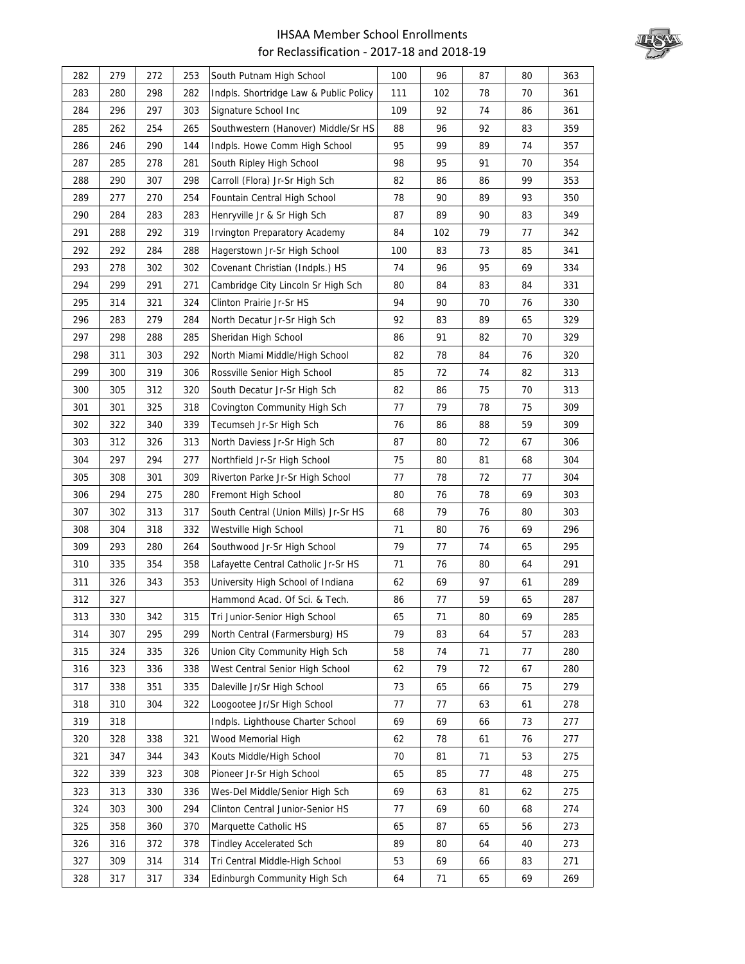

| 282 | 279 | 272 | 253 | South Putnam High School               | 100 | 96  | 87 | 80 | 363 |
|-----|-----|-----|-----|----------------------------------------|-----|-----|----|----|-----|
| 283 | 280 | 298 | 282 | Indpls. Shortridge Law & Public Policy | 111 | 102 | 78 | 70 | 361 |
| 284 | 296 | 297 | 303 | Signature School Inc                   | 109 | 92  | 74 | 86 | 361 |
| 285 | 262 | 254 | 265 | Southwestern (Hanover) Middle/Sr HS    | 88  | 96  | 92 | 83 | 359 |
| 286 | 246 | 290 | 144 | Indpls. Howe Comm High School          | 95  | 99  | 89 | 74 | 357 |
| 287 | 285 | 278 | 281 | South Ripley High School               | 98  | 95  | 91 | 70 | 354 |
| 288 | 290 | 307 | 298 | Carroll (Flora) Jr-Sr High Sch         | 82  | 86  | 86 | 99 | 353 |
| 289 | 277 | 270 | 254 | Fountain Central High School           | 78  | 90  | 89 | 93 | 350 |
| 290 | 284 | 283 | 283 | Henryville Jr & Sr High Sch            | 87  | 89  | 90 | 83 | 349 |
| 291 | 288 | 292 | 319 | Irvington Preparatory Academy          | 84  | 102 | 79 | 77 | 342 |
| 292 | 292 | 284 | 288 | Hagerstown Jr-Sr High School           | 100 | 83  | 73 | 85 | 341 |
| 293 | 278 | 302 | 302 | Covenant Christian (Indpls.) HS        | 74  | 96  | 95 | 69 | 334 |
| 294 | 299 | 291 | 271 | Cambridge City Lincoln Sr High Sch     | 80  | 84  | 83 | 84 | 331 |
| 295 | 314 | 321 | 324 | Clinton Prairie Jr-Sr HS               | 94  | 90  | 70 | 76 | 330 |
| 296 | 283 | 279 | 284 | North Decatur Jr-Sr High Sch           | 92  | 83  | 89 | 65 | 329 |
| 297 | 298 | 288 | 285 | Sheridan High School                   | 86  | 91  | 82 | 70 | 329 |
| 298 | 311 | 303 | 292 | North Miami Middle/High School         | 82  | 78  | 84 | 76 | 320 |
| 299 | 300 | 319 | 306 | Rossville Senior High School           | 85  | 72  | 74 | 82 | 313 |
| 300 | 305 | 312 | 320 | South Decatur Jr-Sr High Sch           | 82  | 86  | 75 | 70 | 313 |
| 301 | 301 | 325 | 318 | Covington Community High Sch           | 77  | 79  | 78 | 75 | 309 |
| 302 | 322 | 340 | 339 | Tecumseh Jr-Sr High Sch                | 76  | 86  | 88 | 59 | 309 |
| 303 | 312 | 326 | 313 | North Daviess Jr-Sr High Sch           | 87  | 80  | 72 | 67 | 306 |
| 304 | 297 | 294 | 277 | Northfield Jr-Sr High School           | 75  | 80  | 81 | 68 | 304 |
| 305 | 308 | 301 | 309 | Riverton Parke Jr-Sr High School       | 77  | 78  | 72 | 77 | 304 |
| 306 | 294 | 275 | 280 | Fremont High School                    | 80  | 76  | 78 | 69 | 303 |
| 307 | 302 | 313 | 317 | South Central (Union Mills) Jr-Sr HS   | 68  | 79  | 76 | 80 | 303 |
| 308 | 304 | 318 | 332 | Westville High School                  | 71  | 80  | 76 | 69 | 296 |
| 309 | 293 | 280 | 264 | Southwood Jr-Sr High School            | 79  | 77  | 74 | 65 | 295 |
| 310 | 335 | 354 | 358 | Lafayette Central Catholic Jr-Sr HS    | 71  | 76  | 80 | 64 | 291 |
| 311 | 326 | 343 | 353 | University High School of Indiana      | 62  | 69  | 97 | 61 | 289 |
| 312 | 327 |     |     | Hammond Acad. Of Sci. & Tech.          | 86  | 77  | 59 | 65 | 287 |
| 313 | 330 | 342 | 315 | Tri Junior-Senior High School          | 65  | 71  | 80 | 69 | 285 |
| 314 | 307 | 295 | 299 | North Central (Farmersburg) HS         | 79  | 83  | 64 | 57 | 283 |
| 315 | 324 | 335 | 326 | Union City Community High Sch          | 58  | 74  | 71 | 77 | 280 |
| 316 | 323 | 336 | 338 | West Central Senior High School        | 62  | 79  | 72 | 67 | 280 |
| 317 | 338 | 351 | 335 | Daleville Jr/Sr High School            | 73  | 65  | 66 | 75 | 279 |
| 318 | 310 | 304 | 322 | Loogootee Jr/Sr High School            | 77  | 77  | 63 | 61 | 278 |
| 319 | 318 |     |     | Indpls. Lighthouse Charter School      | 69  | 69  | 66 | 73 | 277 |
| 320 | 328 | 338 | 321 | Wood Memorial High                     | 62  | 78  | 61 | 76 | 277 |
| 321 | 347 | 344 | 343 | Kouts Middle/High School               | 70  | 81  | 71 | 53 | 275 |
| 322 | 339 | 323 | 308 | Pioneer Jr-Sr High School              | 65  | 85  | 77 | 48 | 275 |
| 323 | 313 | 330 | 336 | Wes-Del Middle/Senior High Sch         | 69  | 63  | 81 | 62 | 275 |
| 324 | 303 | 300 | 294 | Clinton Central Junior-Senior HS       | 77  | 69  | 60 | 68 | 274 |
| 325 | 358 | 360 | 370 | Marquette Catholic HS                  | 65  | 87  | 65 | 56 | 273 |
| 326 | 316 | 372 | 378 | <b>Tindley Accelerated Sch</b>         | 89  | 80  | 64 | 40 | 273 |
| 327 | 309 | 314 | 314 | Tri Central Middle-High School         | 53  | 69  | 66 | 83 | 271 |
| 328 | 317 | 317 | 334 | Edinburgh Community High Sch           | 64  | 71  | 65 | 69 | 269 |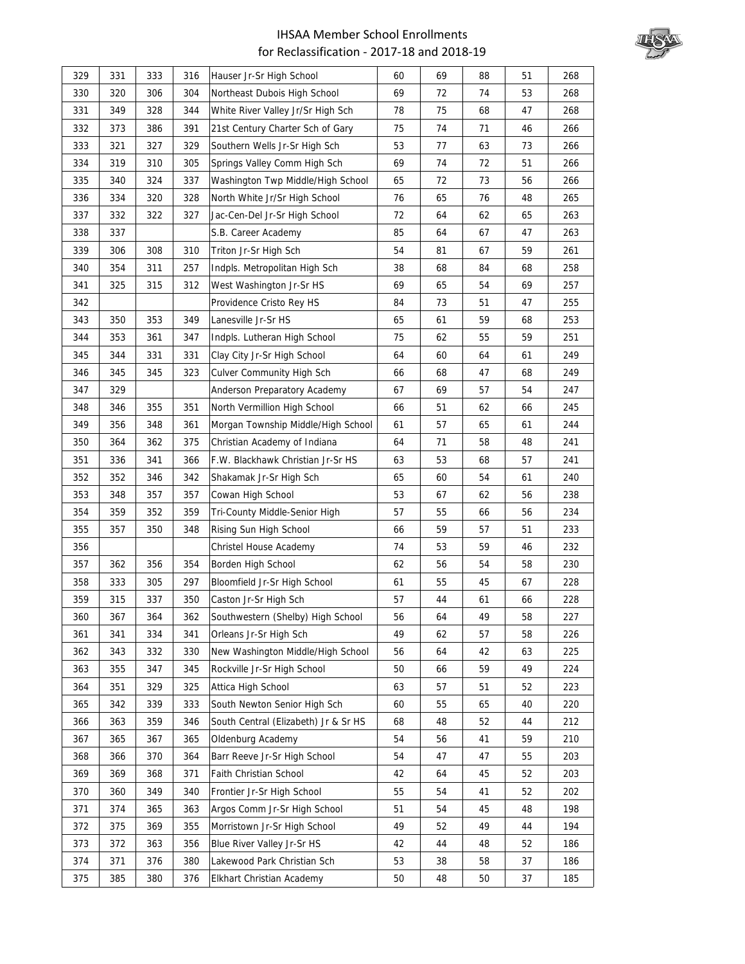

| 329 | 331 | 333 | 316 | Hauser Jr-Sr High School             | 60 | 69 | 88 | 51 | 268 |
|-----|-----|-----|-----|--------------------------------------|----|----|----|----|-----|
| 330 | 320 | 306 | 304 | Northeast Dubois High School         | 69 | 72 | 74 | 53 | 268 |
| 331 | 349 | 328 | 344 | White River Valley Jr/Sr High Sch    | 78 | 75 | 68 | 47 | 268 |
| 332 | 373 | 386 | 391 | 21st Century Charter Sch of Gary     | 75 | 74 | 71 | 46 | 266 |
| 333 | 321 | 327 | 329 | Southern Wells Jr-Sr High Sch        | 53 | 77 | 63 | 73 | 266 |
| 334 | 319 | 310 | 305 | Springs Valley Comm High Sch         | 69 | 74 | 72 | 51 | 266 |
| 335 | 340 | 324 | 337 | Washington Twp Middle/High School    | 65 | 72 | 73 | 56 | 266 |
| 336 | 334 | 320 | 328 | North White Jr/Sr High School        | 76 | 65 | 76 | 48 | 265 |
| 337 | 332 | 322 | 327 | Jac-Cen-Del Jr-Sr High School        | 72 | 64 | 62 | 65 | 263 |
| 338 | 337 |     |     | S.B. Career Academy                  | 85 | 64 | 67 | 47 | 263 |
| 339 | 306 | 308 | 310 | Triton Jr-Sr High Sch                | 54 | 81 | 67 | 59 | 261 |
| 340 | 354 | 311 | 257 | Indpls. Metropolitan High Sch        | 38 | 68 | 84 | 68 | 258 |
| 341 | 325 | 315 | 312 | West Washington Jr-Sr HS             | 69 | 65 | 54 | 69 | 257 |
| 342 |     |     |     | Providence Cristo Rey HS             | 84 | 73 | 51 | 47 | 255 |
| 343 | 350 | 353 | 349 | Lanesville Jr-Sr HS                  | 65 | 61 | 59 | 68 | 253 |
| 344 | 353 | 361 | 347 | Indpls. Lutheran High School         | 75 | 62 | 55 | 59 | 251 |
| 345 | 344 | 331 | 331 | Clay City Jr-Sr High School          | 64 | 60 | 64 | 61 | 249 |
| 346 | 345 | 345 | 323 | <b>Culver Community High Sch</b>     | 66 | 68 | 47 | 68 | 249 |
| 347 | 329 |     |     | Anderson Preparatory Academy         | 67 | 69 | 57 | 54 | 247 |
| 348 | 346 | 355 | 351 | North Vermillion High School         | 66 | 51 | 62 | 66 | 245 |
| 349 | 356 | 348 | 361 | Morgan Township Middle/High School   | 61 | 57 | 65 | 61 | 244 |
| 350 | 364 | 362 | 375 | Christian Academy of Indiana         | 64 | 71 | 58 | 48 | 241 |
| 351 | 336 | 341 | 366 | F.W. Blackhawk Christian Jr-Sr HS    | 63 | 53 | 68 | 57 | 241 |
| 352 | 352 | 346 | 342 | Shakamak Jr-Sr High Sch              | 65 | 60 | 54 | 61 | 240 |
| 353 | 348 | 357 | 357 | Cowan High School                    | 53 | 67 | 62 | 56 | 238 |
| 354 | 359 | 352 | 359 | Tri-County Middle-Senior High        | 57 | 55 | 66 | 56 | 234 |
| 355 | 357 | 350 | 348 | Rising Sun High School               | 66 | 59 | 57 | 51 | 233 |
| 356 |     |     |     | Christel House Academy               | 74 | 53 | 59 | 46 | 232 |
| 357 | 362 | 356 | 354 | Borden High School                   | 62 | 56 | 54 | 58 | 230 |
| 358 | 333 | 305 | 297 | Bloomfield Jr-Sr High School         | 61 | 55 | 45 | 67 | 228 |
| 359 | 315 | 337 | 350 | Caston Jr-Sr High Sch                | 57 | 44 | 61 | 66 | 228 |
| 360 | 367 | 364 | 362 | Southwestern (Shelby) High School    | 56 | 64 | 49 | 58 | 227 |
| 361 | 341 | 334 | 341 | Orleans Jr-Sr High Sch               | 49 | 62 | 57 | 58 | 226 |
| 362 | 343 | 332 | 330 | New Washington Middle/High School    | 56 | 64 | 42 | 63 | 225 |
| 363 | 355 | 347 | 345 | Rockville Jr-Sr High School          | 50 | 66 | 59 | 49 | 224 |
| 364 | 351 | 329 | 325 | Attica High School                   | 63 | 57 | 51 | 52 | 223 |
| 365 | 342 | 339 | 333 | South Newton Senior High Sch         | 60 | 55 | 65 | 40 | 220 |
| 366 | 363 | 359 | 346 | South Central (Elizabeth) Jr & Sr HS | 68 | 48 | 52 | 44 | 212 |
| 367 | 365 | 367 | 365 | Oldenburg Academy                    | 54 | 56 | 41 | 59 | 210 |
| 368 | 366 | 370 | 364 | Barr Reeve Jr-Sr High School         | 54 | 47 | 47 | 55 | 203 |
| 369 | 369 | 368 | 371 | Faith Christian School               | 42 | 64 | 45 | 52 | 203 |
| 370 | 360 | 349 | 340 | Frontier Jr-Sr High School           | 55 | 54 | 41 | 52 | 202 |
| 371 | 374 | 365 | 363 | Argos Comm Jr-Sr High School         | 51 | 54 | 45 | 48 | 198 |
| 372 | 375 | 369 | 355 | Morristown Jr-Sr High School         | 49 | 52 | 49 | 44 | 194 |
| 373 | 372 | 363 | 356 | Blue River Valley Jr-Sr HS           | 42 | 44 | 48 | 52 | 186 |
| 374 | 371 | 376 | 380 | Lakewood Park Christian Sch          | 53 | 38 | 58 | 37 | 186 |
| 375 | 385 | 380 | 376 | Elkhart Christian Academy            | 50 | 48 | 50 | 37 | 185 |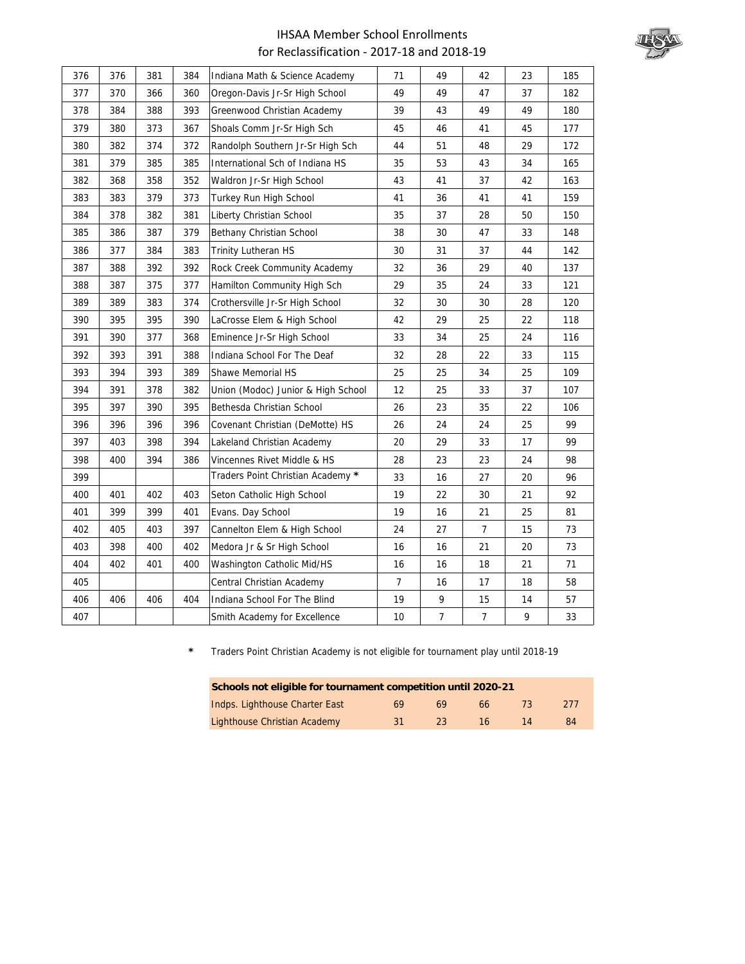

| 376 | 376 | 381 | 384 | Indiana Math & Science Academy     | 71             | 49             | 42             | 23 | 185 |
|-----|-----|-----|-----|------------------------------------|----------------|----------------|----------------|----|-----|
| 377 | 370 | 366 | 360 | Oregon-Davis Jr-Sr High School     | 49             | 49             | 47             | 37 | 182 |
| 378 | 384 | 388 | 393 | Greenwood Christian Academy        | 39             | 43             | 49             | 49 | 180 |
| 379 | 380 | 373 | 367 | Shoals Comm Jr-Sr High Sch         | 45             | 46             | 41             | 45 | 177 |
| 380 | 382 | 374 | 372 | Randolph Southern Jr-Sr High Sch   | 44             | 51             | 48             | 29 | 172 |
| 381 | 379 | 385 | 385 | International Sch of Indiana HS    | 35             | 53             | 43             | 34 | 165 |
| 382 | 368 | 358 | 352 | Waldron Jr-Sr High School          | 43             | 41             | 37             | 42 | 163 |
| 383 | 383 | 379 | 373 | Turkey Run High School             | 41             | 36             | 41             | 41 | 159 |
| 384 | 378 | 382 | 381 | Liberty Christian School           | 35             | 37             | 28             | 50 | 150 |
| 385 | 386 | 387 | 379 | Bethany Christian School           | 38             | 30             | 47             | 33 | 148 |
| 386 | 377 | 384 | 383 | Trinity Lutheran HS                | 30             | 31             | 37             | 44 | 142 |
| 387 | 388 | 392 | 392 | Rock Creek Community Academy       | 32             | 36             | 29             | 40 | 137 |
| 388 | 387 | 375 | 377 | Hamilton Community High Sch        | 29             | 35             | 24             | 33 | 121 |
| 389 | 389 | 383 | 374 | Crothersville Jr-Sr High School    | 32             | 30             | 30             | 28 | 120 |
| 390 | 395 | 395 | 390 | LaCrosse Elem & High School        | 42             | 29             | 25             | 22 | 118 |
| 391 | 390 | 377 | 368 | Eminence Jr-Sr High School         | 33             | 34             | 25             | 24 | 116 |
| 392 | 393 | 391 | 388 | Indiana School For The Deaf        | 32             | 28             | 22             | 33 | 115 |
| 393 | 394 | 393 | 389 | Shawe Memorial HS                  | 25             | 25             | 34             | 25 | 109 |
| 394 | 391 | 378 | 382 | Union (Modoc) Junior & High School | 12             | 25             | 33             | 37 | 107 |
| 395 | 397 | 390 | 395 | Bethesda Christian School          | 26             | 23             | 35             | 22 | 106 |
| 396 | 396 | 396 | 396 | Covenant Christian (DeMotte) HS    | 26             | 24             | 24             | 25 | 99  |
| 397 | 403 | 398 | 394 | Lakeland Christian Academy         | 20             | 29             | 33             | 17 | 99  |
| 398 | 400 | 394 | 386 | Vincennes Rivet Middle & HS        | 28             | 23             | 23             | 24 | 98  |
| 399 |     |     |     | Traders Point Christian Academy *  | 33             | 16             | 27             | 20 | 96  |
| 400 | 401 | 402 | 403 | Seton Catholic High School         | 19             | 22             | 30             | 21 | 92  |
| 401 | 399 | 399 | 401 | Evans. Day School                  | 19             | 16             | 21             | 25 | 81  |
| 402 | 405 | 403 | 397 | Cannelton Elem & High School       | 24             | 27             | $\overline{7}$ | 15 | 73  |
| 403 | 398 | 400 | 402 | Medora Jr & Sr High School         | 16             | 16             | 21             | 20 | 73  |
| 404 | 402 | 401 | 400 | Washington Catholic Mid/HS         | 16             | 16             | 18             | 21 | 71  |
| 405 |     |     |     | Central Christian Academy          | $\overline{7}$ | 16             | 17             | 18 | 58  |
| 406 | 406 | 406 | 404 | Indiana School For The Blind       | 19             | 9              | 15             | 14 | 57  |
| 407 |     |     |     | Smith Academy for Excellence       | 10             | $\overline{7}$ | $\overline{7}$ | 9  | 33  |

**\*** Traders Point Christian Academy is not eligible for tournament play until 2018-19

| Schools not eligible for tournament competition until 2020-21  |    |    |    |  |    |  |  |  |  |  |  |  |
|----------------------------------------------------------------|----|----|----|--|----|--|--|--|--|--|--|--|
| Indps. Lighthouse Charter East<br>277<br>69<br>69<br>73.<br>66 |    |    |    |  |    |  |  |  |  |  |  |  |
| Lighthouse Christian Academy                                   | 31 | 23 | 16 |  | 84 |  |  |  |  |  |  |  |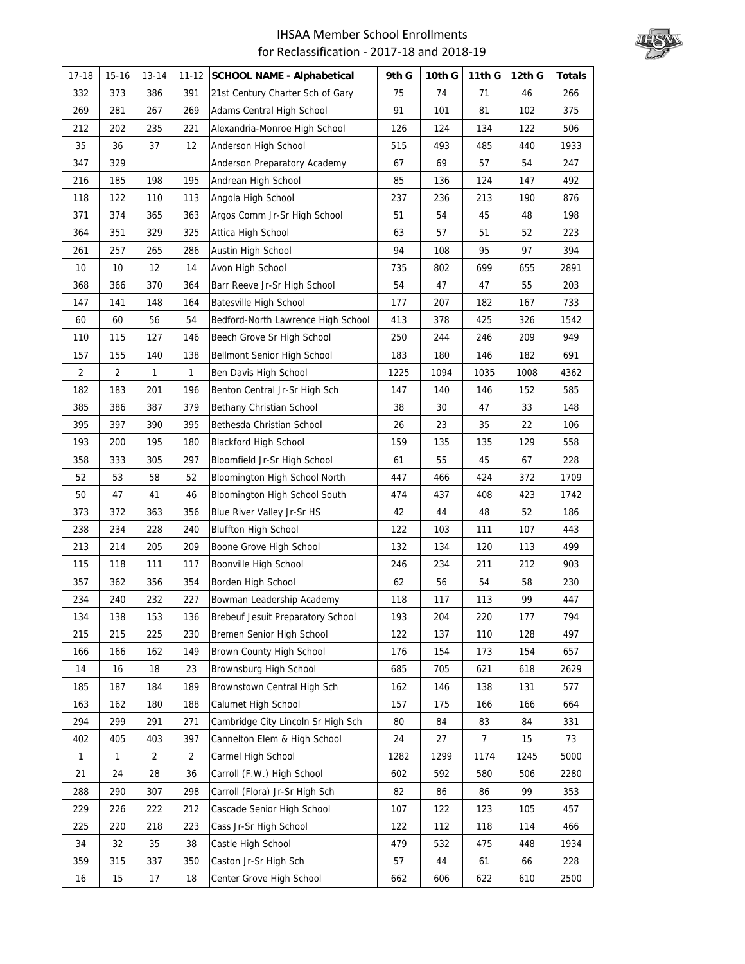

| $17 - 18$    | 15-16          | 13-14          | $11 - 12$      | <b>SCHOOL NAME - Alphabetical</b>  | 9th G | 10th G | 11th G | 12th G | <b>Totals</b> |
|--------------|----------------|----------------|----------------|------------------------------------|-------|--------|--------|--------|---------------|
| 332          | 373            | 386            | 391            | 21st Century Charter Sch of Gary   | 75    | 74     | 71     | 46     | 266           |
| 269          | 281            | 267            | 269            | Adams Central High School          | 91    | 101    | 81     | 102    | 375           |
| 212          | 202            | 235            | 221            | Alexandria-Monroe High School      | 126   | 124    | 134    | 122    | 506           |
| 35           | 36             | 37             | 12             | Anderson High School               | 515   | 493    | 485    | 440    | 1933          |
| 347          | 329            |                |                | Anderson Preparatory Academy       | 67    | 69     | 57     | 54     | 247           |
| 216          | 185            | 198            | 195            | Andrean High School                | 85    | 136    | 124    | 147    | 492           |
| 118          | 122            | 110            | 113            | Angola High School                 | 237   | 236    | 213    | 190    | 876           |
| 371          | 374            | 365            | 363            | Argos Comm Jr-Sr High School       | 51    | 54     | 45     | 48     | 198           |
| 364          | 351            | 329            | 325            | Attica High School                 | 63    | 57     | 51     | 52     | 223           |
| 261          | 257            | 265            | 286            | Austin High School                 | 94    | 108    | 95     | 97     | 394           |
| 10           | 10             | 12             | 14             | Avon High School                   | 735   | 802    | 699    | 655    | 2891          |
| 368          | 366            | 370            | 364            | Barr Reeve Jr-Sr High School       | 54    | 47     | 47     | 55     | 203           |
| 147          | 141            | 148            | 164            | Batesville High School             | 177   | 207    | 182    | 167    | 733           |
| 60           | 60             | 56             | 54             | Bedford-North Lawrence High School | 413   | 378    | 425    | 326    | 1542          |
| 110          | 115            | 127            | 146            | Beech Grove Sr High School         | 250   | 244    | 246    | 209    | 949           |
| 157          | 155            | 140            | 138            | Bellmont Senior High School        | 183   | 180    | 146    | 182    | 691           |
| 2            | $\overline{2}$ | 1              | 1              | Ben Davis High School              | 1225  | 1094   | 1035   | 1008   | 4362          |
| 182          | 183            | 201            | 196            | Benton Central Jr-Sr High Sch      | 147   | 140    | 146    | 152    | 585           |
| 385          | 386            | 387            | 379            | Bethany Christian School           | 38    | 30     | 47     | 33     | 148           |
| 395          | 397            | 390            | 395            | Bethesda Christian School          | 26    | 23     | 35     | 22     | 106           |
| 193          | 200            | 195            | 180            | <b>Blackford High School</b>       | 159   | 135    | 135    | 129    | 558           |
| 358          | 333            | 305            | 297            | Bloomfield Jr-Sr High School       | 61    | 55     | 45     | 67     | 228           |
| 52           | 53             | 58             | 52             | Bloomington High School North      | 447   | 466    | 424    | 372    | 1709          |
| 50           | 47             | 41             | 46             | Bloomington High School South      | 474   | 437    | 408    | 423    | 1742          |
| 373          | 372            | 363            | 356            | Blue River Valley Jr-Sr HS         | 42    | 44     | 48     | 52     | 186           |
| 238          | 234            | 228            | 240            | <b>Bluffton High School</b>        | 122   | 103    | 111    | 107    | 443           |
| 213          | 214            | 205            | 209            | Boone Grove High School            | 132   | 134    | 120    | 113    | 499           |
| 115          | 118            | 111            | 117            | Boonville High School              | 246   | 234    | 211    | 212    | 903           |
| 357          | 362            | 356            | 354            | Borden High School                 | 62    | 56     | 54     | 58     | 230           |
| 234          | 240            | 232            | 227            | Bowman Leadership Academy          | 118   | 117    | 113    | 99     | 447           |
| 134          | 138            | 153            | 136            | Brebeuf Jesuit Preparatory School  | 193   | 204    | 220    | 177    | 794           |
| 215          | 215            | 225            | 230            | Bremen Senior High School          | 122   | 137    | 110    | 128    | 497           |
| 166          | 166            | 162            | 149            | Brown County High School           | 176   | 154    | 173    | 154    | 657           |
| 14           | 16             | 18             | 23             | Brownsburg High School             | 685   | 705    | 621    | 618    | 2629          |
| 185          | 187            | 184            | 189            | Brownstown Central High Sch        | 162   | 146    | 138    | 131    | 577           |
| 163          | 162            | 180            | 188            | Calumet High School                | 157   | 175    | 166    | 166    | 664           |
| 294          | 299            | 291            | 271            | Cambridge City Lincoln Sr High Sch | 80    | 84     | 83     | 84     | 331           |
| 402          | 405            | 403            | 397            | Cannelton Elem & High School       | 24    | 27     | 7      | 15     | 73            |
| $\mathbf{1}$ | $\mathbf{1}$   | $\overline{2}$ | $\overline{2}$ | Carmel High School                 | 1282  | 1299   | 1174   | 1245   | 5000          |
| 21           | 24             | 28             | 36             | Carroll (F.W.) High School         | 602   | 592    | 580    | 506    | 2280          |
| 288          | 290            | 307            | 298            | Carroll (Flora) Jr-Sr High Sch     | 82    | 86     | 86     | 99     | 353           |
| 229          | 226            | 222            | 212            | Cascade Senior High School         | 107   | 122    | 123    | 105    | 457           |
| 225          | 220            | 218            | 223            | Cass Jr-Sr High School             | 122   | 112    | 118    | 114    | 466           |
| 34           | 32             | 35             | 38             | Castle High School                 | 479   | 532    | 475    | 448    | 1934          |
| 359          | 315            | 337            | 350            | Caston Jr-Sr High Sch              | 57    | 44     | 61     | 66     | 228           |
| 16           | 15             | 17             | 18             | Center Grove High School           | 662   | 606    | 622    | 610    | 2500          |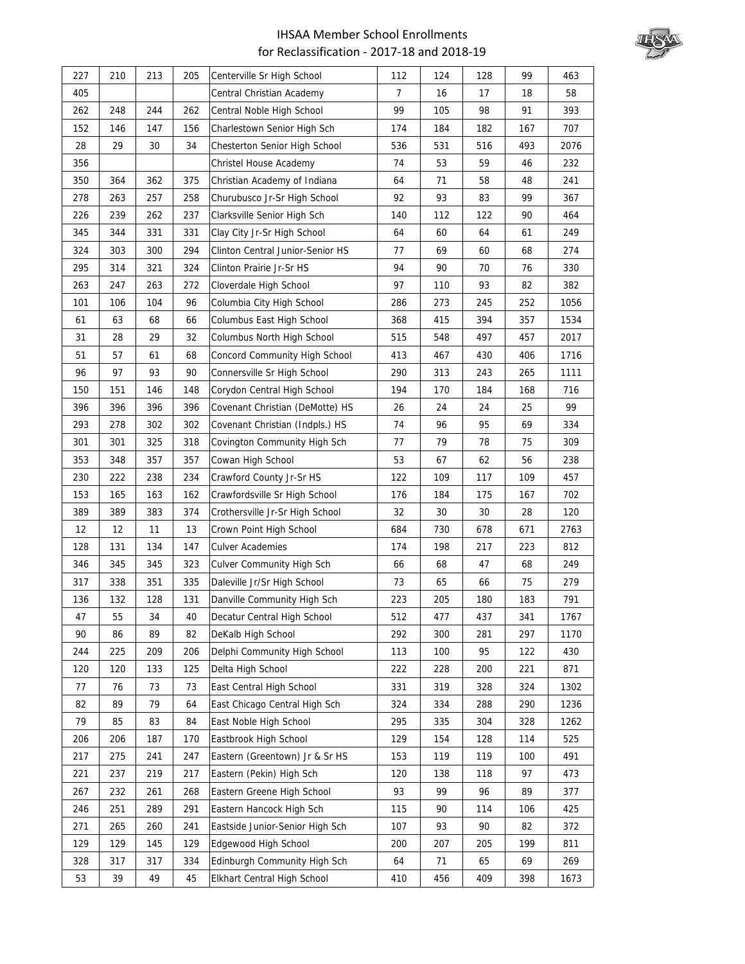

| 227 | 210 | 213 | 205 | Centerville Sr High School       | 112            | 124 | 128 | 99  | 463  |
|-----|-----|-----|-----|----------------------------------|----------------|-----|-----|-----|------|
| 405 |     |     |     | Central Christian Academy        | $\overline{7}$ | 16  | 17  | 18  | 58   |
| 262 | 248 | 244 | 262 | Central Noble High School        | 99             | 105 | 98  | 91  | 393  |
| 152 | 146 | 147 | 156 | Charlestown Senior High Sch      | 174            | 184 | 182 | 167 | 707  |
| 28  | 29  | 30  | 34  | Chesterton Senior High School    | 536            | 531 | 516 | 493 | 2076 |
| 356 |     |     |     | Christel House Academy           | 74             | 53  | 59  | 46  | 232  |
| 350 | 364 | 362 | 375 | Christian Academy of Indiana     | 64             | 71  | 58  | 48  | 241  |
| 278 | 263 | 257 | 258 | Churubusco Jr-Sr High School     | 92             | 93  | 83  | 99  | 367  |
| 226 | 239 | 262 | 237 | Clarksville Senior High Sch      | 140            | 112 | 122 | 90  | 464  |
| 345 | 344 | 331 | 331 | Clay City Jr-Sr High School      | 64             | 60  | 64  | 61  | 249  |
| 324 | 303 | 300 | 294 | Clinton Central Junior-Senior HS | 77             | 69  | 60  | 68  | 274  |
| 295 | 314 | 321 | 324 | Clinton Prairie Jr-Sr HS         | 94             | 90  | 70  | 76  | 330  |
| 263 | 247 | 263 | 272 | Cloverdale High School           | 97             | 110 | 93  | 82  | 382  |
| 101 | 106 | 104 | 96  | Columbia City High School        | 286            | 273 | 245 | 252 | 1056 |
| 61  | 63  | 68  | 66  | Columbus East High School        | 368            | 415 | 394 | 357 | 1534 |
| 31  | 28  | 29  | 32  | Columbus North High School       | 515            | 548 | 497 | 457 | 2017 |
| 51  | 57  | 61  | 68  | Concord Community High School    | 413            | 467 | 430 | 406 | 1716 |
| 96  | 97  | 93  | 90  | Connersville Sr High School      | 290            | 313 | 243 | 265 | 1111 |
| 150 | 151 | 146 | 148 | Corydon Central High School      | 194            | 170 | 184 | 168 | 716  |
| 396 | 396 | 396 | 396 | Covenant Christian (DeMotte) HS  | 26             | 24  | 24  | 25  | 99   |
| 293 | 278 | 302 | 302 | Covenant Christian (Indpls.) HS  | 74             | 96  | 95  | 69  | 334  |
| 301 | 301 | 325 | 318 | Covington Community High Sch     | 77             | 79  | 78  | 75  | 309  |
| 353 | 348 | 357 | 357 | Cowan High School                | 53             | 67  | 62  | 56  | 238  |
| 230 | 222 | 238 | 234 | Crawford County Jr-Sr HS         | 122            | 109 | 117 | 109 | 457  |
| 153 | 165 | 163 | 162 | Crawfordsville Sr High School    | 176            | 184 | 175 | 167 | 702  |
| 389 | 389 | 383 | 374 | Crothersville Jr-Sr High School  | 32             | 30  | 30  | 28  | 120  |
| 12  | 12  | 11  | 13  | Crown Point High School          | 684            | 730 | 678 | 671 | 2763 |
| 128 | 131 | 134 | 147 | <b>Culver Academies</b>          | 174            | 198 | 217 | 223 | 812  |
| 346 | 345 | 345 | 323 | Culver Community High Sch        | 66             | 68  | 47  | 68  | 249  |
| 317 | 338 | 351 | 335 | Daleville Jr/Sr High School      | 73             | 65  | 66  | 75  | 279  |
| 136 | 132 | 128 | 131 | Danville Community High Sch      | 223            | 205 | 180 | 183 | 791  |
| 47  | 55  | 34  | 40  | Decatur Central High School      | 512            | 477 | 437 | 341 | 1767 |
| 90  | 86  | 89  | 82  | DeKalb High School               | 292            | 300 | 281 | 297 | 1170 |
| 244 | 225 | 209 | 206 | Delphi Community High School     | 113            | 100 | 95  | 122 | 430  |
| 120 | 120 | 133 | 125 | Delta High School                | 222            | 228 | 200 | 221 | 871  |
| 77  | 76  | 73  | 73  | East Central High School         | 331            | 319 | 328 | 324 | 1302 |
| 82  | 89  | 79  | 64  | East Chicago Central High Sch    | 324            | 334 | 288 | 290 | 1236 |
| 79  | 85  | 83  | 84  | East Noble High School           | 295            | 335 | 304 | 328 | 1262 |
| 206 | 206 | 187 | 170 | Eastbrook High School            | 129            | 154 | 128 | 114 | 525  |
| 217 | 275 | 241 | 247 | Eastern (Greentown) Jr & Sr HS   | 153            | 119 | 119 | 100 | 491  |
| 221 | 237 | 219 | 217 | Eastern (Pekin) High Sch         | 120            | 138 | 118 | 97  | 473  |
| 267 | 232 | 261 | 268 | Eastern Greene High School       | 93             | 99  | 96  | 89  | 377  |
| 246 | 251 | 289 | 291 | Eastern Hancock High Sch         | 115            | 90  | 114 | 106 | 425  |
| 271 | 265 | 260 | 241 | Eastside Junior-Senior High Sch  | 107            | 93  | 90  | 82  | 372  |
| 129 | 129 | 145 | 129 | Edgewood High School             | 200            | 207 | 205 | 199 | 811  |
| 328 | 317 | 317 | 334 | Edinburgh Community High Sch     | 64             | 71  | 65  | 69  | 269  |
| 53  | 39  | 49  | 45  | Elkhart Central High School      | 410            | 456 | 409 | 398 | 1673 |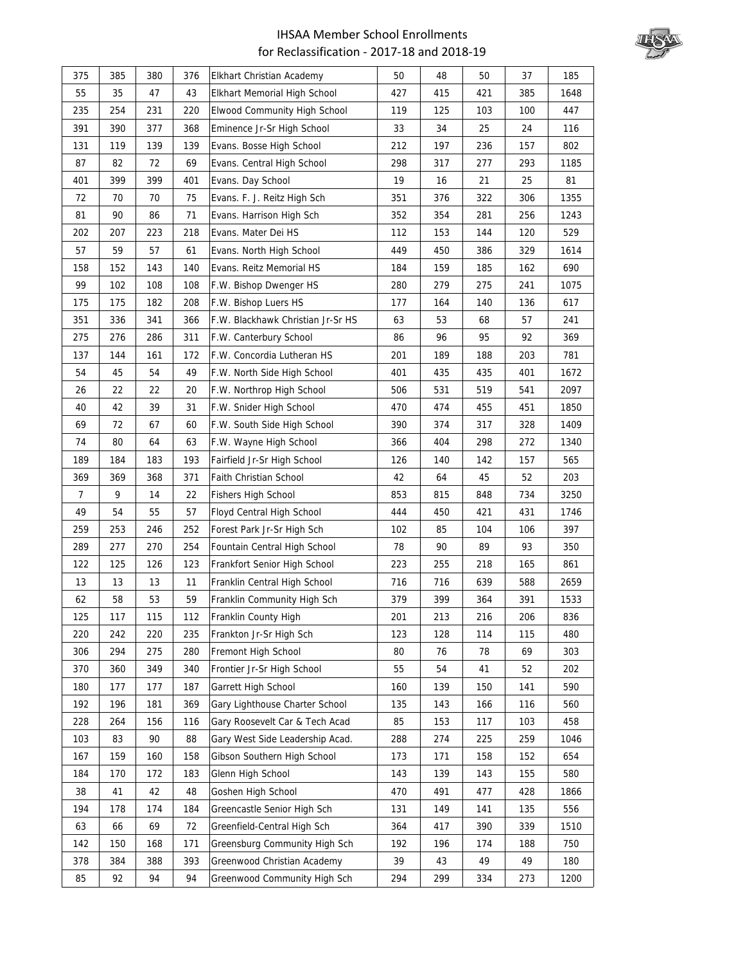

| 375            | 385 | 380 | 376 | Elkhart Christian Academy         | 50  | 48  | 50  | 37  | 185  |
|----------------|-----|-----|-----|-----------------------------------|-----|-----|-----|-----|------|
| 55             | 35  | 47  | 43  | Elkhart Memorial High School      | 427 | 415 | 421 | 385 | 1648 |
| 235            | 254 | 231 | 220 | Elwood Community High School      | 119 | 125 | 103 | 100 | 447  |
| 391            | 390 | 377 | 368 | Eminence Jr-Sr High School        | 33  | 34  | 25  | 24  | 116  |
| 131            | 119 | 139 | 139 | Evans. Bosse High School          | 212 | 197 | 236 | 157 | 802  |
| 87             | 82  | 72  | 69  | Evans. Central High School        | 298 | 317 | 277 | 293 | 1185 |
| 401            | 399 | 399 | 401 | Evans. Day School                 | 19  | 16  | 21  | 25  | 81   |
| 72             | 70  | 70  | 75  | Evans. F. J. Reitz High Sch       | 351 | 376 | 322 | 306 | 1355 |
| 81             | 90  | 86  | 71  | Evans. Harrison High Sch          | 352 | 354 | 281 | 256 | 1243 |
| 202            | 207 | 223 | 218 | Evans. Mater Dei HS               | 112 | 153 | 144 | 120 | 529  |
| 57             | 59  | 57  | 61  | Evans. North High School          | 449 | 450 | 386 | 329 | 1614 |
| 158            | 152 | 143 | 140 | Evans. Reitz Memorial HS          | 184 | 159 | 185 | 162 | 690  |
| 99             | 102 | 108 | 108 | F.W. Bishop Dwenger HS            | 280 | 279 | 275 | 241 | 1075 |
| 175            | 175 | 182 | 208 | F.W. Bishop Luers HS              | 177 | 164 | 140 | 136 | 617  |
| 351            | 336 | 341 | 366 | F.W. Blackhawk Christian Jr-Sr HS | 63  | 53  | 68  | 57  | 241  |
| 275            | 276 | 286 | 311 | F.W. Canterbury School            | 86  | 96  | 95  | 92  | 369  |
| 137            | 144 | 161 | 172 | F.W. Concordia Lutheran HS        | 201 | 189 | 188 | 203 | 781  |
| 54             | 45  | 54  | 49  | F.W. North Side High School       | 401 | 435 | 435 | 401 | 1672 |
| 26             | 22  | 22  | 20  | F.W. Northrop High School         | 506 | 531 | 519 | 541 | 2097 |
| 40             | 42  | 39  | 31  | F.W. Snider High School           | 470 | 474 | 455 | 451 | 1850 |
| 69             | 72  | 67  | 60  | F.W. South Side High School       | 390 | 374 | 317 | 328 | 1409 |
| 74             | 80  | 64  | 63  | F.W. Wayne High School            | 366 | 404 | 298 | 272 | 1340 |
| 189            | 184 | 183 | 193 | Fairfield Jr-Sr High School       | 126 | 140 | 142 | 157 | 565  |
| 369            | 369 | 368 | 371 | Faith Christian School            | 42  | 64  | 45  | 52  | 203  |
| $\overline{7}$ | 9   | 14  | 22  | <b>Fishers High School</b>        | 853 | 815 | 848 | 734 | 3250 |
| 49             | 54  | 55  | 57  | Floyd Central High School         | 444 | 450 | 421 | 431 | 1746 |
| 259            | 253 | 246 | 252 | Forest Park Jr-Sr High Sch        | 102 | 85  | 104 | 106 | 397  |
| 289            | 277 | 270 | 254 | Fountain Central High School      | 78  | 90  | 89  | 93  | 350  |
| 122            | 125 | 126 | 123 | Frankfort Senior High School      | 223 | 255 | 218 | 165 | 861  |
| 13             | 13  | 13  | 11  | Franklin Central High School      | 716 | 716 | 639 | 588 | 2659 |
| 62             | 58  | 53  | 59  | Franklin Community High Sch       | 379 | 399 | 364 | 391 | 1533 |
| 125            | 117 | 115 | 112 | Franklin County High              | 201 | 213 | 216 | 206 | 836  |
| 220            | 242 | 220 | 235 | Frankton Jr-Sr High Sch           | 123 | 128 | 114 | 115 | 480  |
| 306            | 294 | 275 | 280 | Fremont High School               | 80  | 76  | 78  | 69  | 303  |
| 370            | 360 | 349 | 340 | Frontier Jr-Sr High School        | 55  | 54  | 41  | 52  | 202  |
| 180            | 177 | 177 | 187 | Garrett High School               | 160 | 139 | 150 | 141 | 590  |
| 192            | 196 | 181 | 369 | Gary Lighthouse Charter School    | 135 | 143 | 166 | 116 | 560  |
| 228            | 264 | 156 | 116 | Gary Roosevelt Car & Tech Acad    | 85  | 153 | 117 | 103 | 458  |
| 103            | 83  | 90  | 88  | Gary West Side Leadership Acad.   | 288 | 274 | 225 | 259 | 1046 |
| 167            | 159 | 160 | 158 | Gibson Southern High School       | 173 | 171 | 158 | 152 | 654  |
| 184            | 170 | 172 | 183 | Glenn High School                 | 143 | 139 | 143 | 155 | 580  |
| 38             | 41  | 42  | 48  | Goshen High School                | 470 | 491 | 477 | 428 | 1866 |
| 194            | 178 | 174 | 184 | Greencastle Senior High Sch       | 131 | 149 | 141 | 135 | 556  |
| 63             | 66  | 69  | 72  | Greenfield-Central High Sch       | 364 | 417 | 390 | 339 | 1510 |
| 142            | 150 | 168 | 171 | Greensburg Community High Sch     | 192 | 196 | 174 | 188 | 750  |
| 378            | 384 | 388 | 393 | Greenwood Christian Academy       | 39  | 43  | 49  | 49  | 180  |
| 85             | 92  | 94  | 94  | Greenwood Community High Sch      | 294 | 299 | 334 | 273 | 1200 |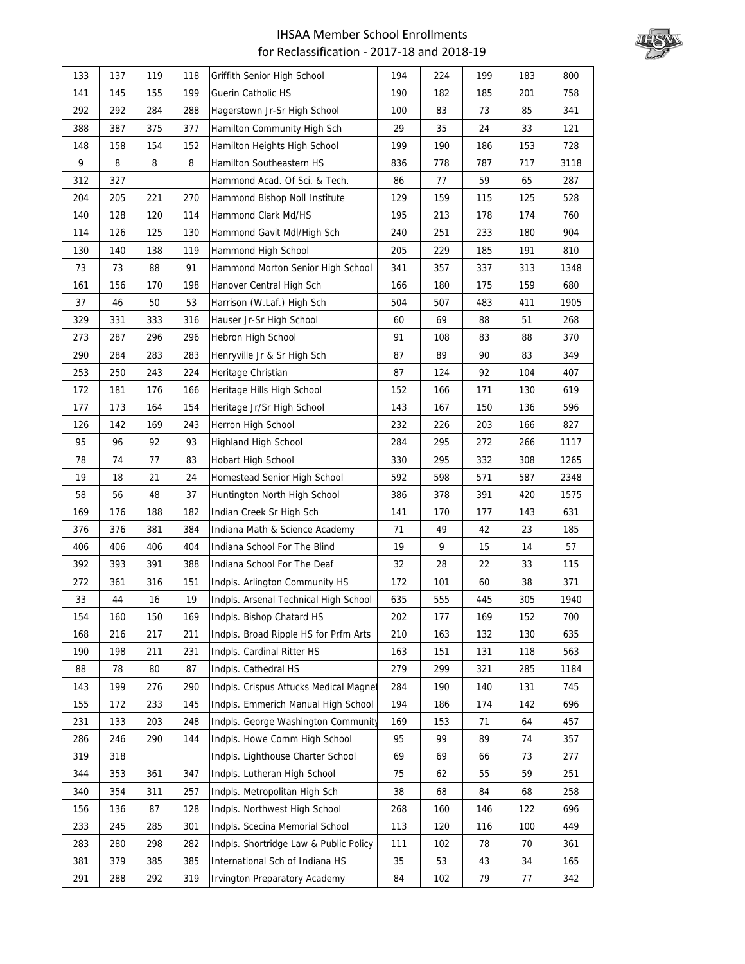

| 133 | 137 | 119 | 118 | Griffith Senior High School            | 194 | 224 | 199 | 183 | 800  |
|-----|-----|-----|-----|----------------------------------------|-----|-----|-----|-----|------|
| 141 | 145 | 155 | 199 | Guerin Catholic HS                     | 190 | 182 | 185 | 201 | 758  |
| 292 | 292 | 284 | 288 | Hagerstown Jr-Sr High School           | 100 | 83  | 73  | 85  | 341  |
| 388 | 387 | 375 | 377 | Hamilton Community High Sch            | 29  | 35  | 24  | 33  | 121  |
| 148 | 158 | 154 | 152 | Hamilton Heights High School           | 199 | 190 | 186 | 153 | 728  |
| 9   | 8   | 8   | 8   | Hamilton Southeastern HS               | 836 | 778 | 787 | 717 | 3118 |
| 312 | 327 |     |     | Hammond Acad. Of Sci. & Tech.          | 86  | 77  | 59  | 65  | 287  |
| 204 | 205 | 221 | 270 | Hammond Bishop Noll Institute          | 129 | 159 | 115 | 125 | 528  |
| 140 | 128 | 120 | 114 | Hammond Clark Md/HS                    | 195 | 213 | 178 | 174 | 760  |
| 114 | 126 | 125 | 130 | Hammond Gavit Mdl/High Sch             | 240 | 251 | 233 | 180 | 904  |
| 130 | 140 | 138 | 119 | Hammond High School                    | 205 | 229 | 185 | 191 | 810  |
| 73  | 73  | 88  | 91  | Hammond Morton Senior High School      | 341 | 357 | 337 | 313 | 1348 |
| 161 | 156 | 170 | 198 | Hanover Central High Sch               | 166 | 180 | 175 | 159 | 680  |
| 37  | 46  | 50  | 53  | Harrison (W.Laf.) High Sch             | 504 | 507 | 483 | 411 | 1905 |
| 329 | 331 | 333 | 316 | Hauser Jr-Sr High School               | 60  | 69  | 88  | 51  | 268  |
| 273 | 287 | 296 | 296 | Hebron High School                     | 91  | 108 | 83  | 88  | 370  |
| 290 | 284 | 283 | 283 | Henryville Jr & Sr High Sch            | 87  | 89  | 90  | 83  | 349  |
| 253 | 250 | 243 | 224 | Heritage Christian                     | 87  | 124 | 92  | 104 | 407  |
| 172 | 181 | 176 | 166 | Heritage Hills High School             | 152 | 166 | 171 | 130 | 619  |
| 177 | 173 | 164 | 154 | Heritage Jr/Sr High School             | 143 | 167 | 150 | 136 | 596  |
| 126 | 142 | 169 | 243 | Herron High School                     | 232 | 226 | 203 | 166 | 827  |
| 95  | 96  | 92  | 93  | Highland High School                   | 284 | 295 | 272 | 266 | 1117 |
| 78  | 74  | 77  | 83  | Hobart High School                     | 330 | 295 | 332 | 308 | 1265 |
| 19  | 18  | 21  | 24  | Homestead Senior High School           | 592 | 598 | 571 | 587 | 2348 |
| 58  | 56  | 48  | 37  | Huntington North High School           | 386 | 378 | 391 | 420 | 1575 |
| 169 | 176 | 188 | 182 | Indian Creek Sr High Sch               | 141 | 170 | 177 | 143 | 631  |
| 376 | 376 | 381 | 384 | Indiana Math & Science Academy         | 71  | 49  | 42  | 23  | 185  |
| 406 | 406 | 406 | 404 | Indiana School For The Blind           | 19  | 9   | 15  | 14  | 57   |
| 392 | 393 | 391 | 388 | Indiana School For The Deaf            | 32  | 28  | 22  | 33  | 115  |
| 272 | 361 | 316 | 151 | Indpls. Arlington Community HS         | 172 | 101 | 60  | 38  | 371  |
| 33  | 44  | 16  | 19  | Indpls. Arsenal Technical High School  | 635 | 555 | 445 | 305 | 1940 |
| 154 | 160 | 150 | 169 | Indpls. Bishop Chatard HS              | 202 | 177 | 169 | 152 | 700  |
| 168 | 216 | 217 | 211 | Indpls. Broad Ripple HS for Prfm Arts  | 210 | 163 | 132 | 130 | 635  |
| 190 | 198 | 211 | 231 | Indpls. Cardinal Ritter HS             | 163 | 151 | 131 | 118 | 563  |
| 88  | 78  | 80  | 87  | Indpls. Cathedral HS                   | 279 | 299 | 321 | 285 | 1184 |
| 143 | 199 | 276 | 290 | Indpls. Crispus Attucks Medical Magne  | 284 | 190 | 140 | 131 | 745  |
| 155 | 172 | 233 | 145 | Indpls. Emmerich Manual High School    | 194 | 186 | 174 | 142 | 696  |
| 231 | 133 | 203 | 248 | Indpls. George Washington Community    | 169 | 153 | 71  | 64  | 457  |
| 286 | 246 | 290 | 144 | Indpls. Howe Comm High School          | 95  | 99  | 89  | 74  | 357  |
| 319 | 318 |     |     | Indpls. Lighthouse Charter School      | 69  | 69  | 66  | 73  | 277  |
| 344 | 353 | 361 | 347 | Indpls. Lutheran High School           | 75  | 62  | 55  | 59  | 251  |
| 340 | 354 | 311 | 257 | Indpls. Metropolitan High Sch          | 38  | 68  | 84  | 68  | 258  |
| 156 | 136 | 87  | 128 | Indpls. Northwest High School          | 268 | 160 | 146 | 122 | 696  |
| 233 | 245 | 285 | 301 | Indpls. Scecina Memorial School        | 113 | 120 | 116 | 100 | 449  |
| 283 | 280 | 298 | 282 | Indpls. Shortridge Law & Public Policy | 111 | 102 | 78  | 70  | 361  |
| 381 | 379 | 385 | 385 | International Sch of Indiana HS        | 35  | 53  | 43  | 34  | 165  |
| 291 | 288 | 292 | 319 | <b>Irvington Preparatory Academy</b>   | 84  | 102 | 79  | 77  | 342  |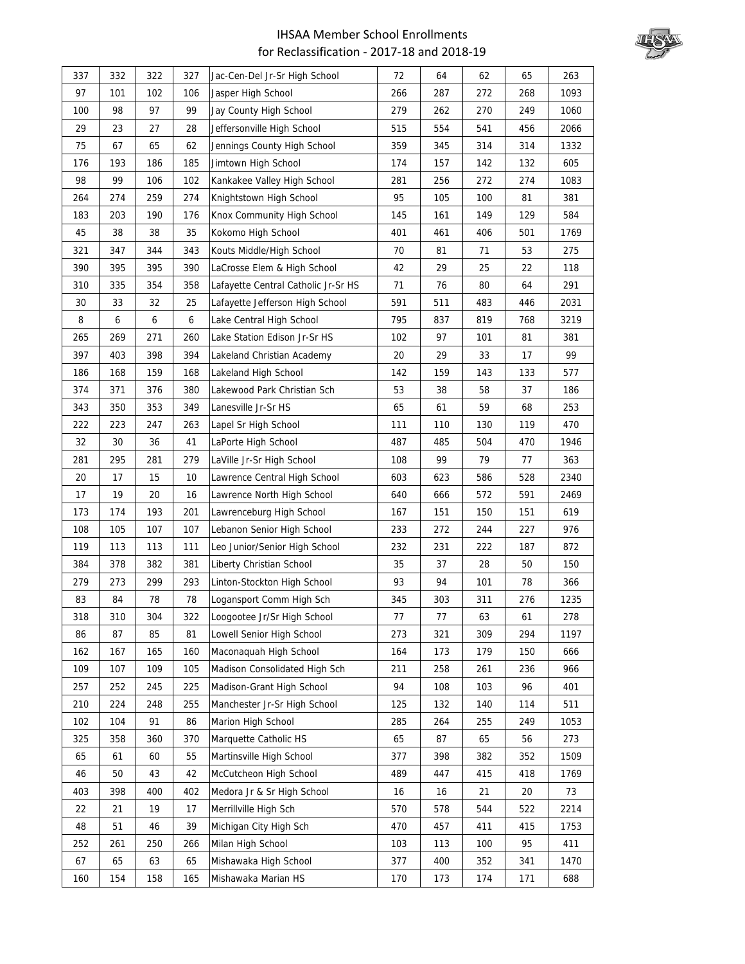

| 337 | 332 | 322              | 327 | Jac-Cen-Del Jr-Sr High School       | 72  | 64  | 62  | 65  | 263  |
|-----|-----|------------------|-----|-------------------------------------|-----|-----|-----|-----|------|
| 97  | 101 | 102              | 106 | Jasper High School                  | 266 | 287 | 272 | 268 | 1093 |
| 100 | 98  | 97               | 99  | Jay County High School              | 279 | 262 | 270 | 249 | 1060 |
| 29  | 23  | 27               | 28  | Jeffersonville High School          | 515 | 554 | 541 | 456 | 2066 |
| 75  | 67  | 65               | 62  | Jennings County High School         | 359 | 345 | 314 | 314 | 1332 |
| 176 | 193 | 186              | 185 | Jimtown High School                 | 174 | 157 | 142 | 132 | 605  |
| 98  | 99  | 106              | 102 | Kankakee Valley High School         | 281 | 256 | 272 | 274 | 1083 |
| 264 | 274 | 259              | 274 | Knightstown High School             | 95  | 105 | 100 | 81  | 381  |
| 183 | 203 | 190              | 176 | Knox Community High School          | 145 | 161 | 149 | 129 | 584  |
| 45  | 38  | 38               | 35  | Kokomo High School                  | 401 | 461 | 406 | 501 | 1769 |
| 321 | 347 | 344              | 343 | Kouts Middle/High School            | 70  | 81  | 71  | 53  | 275  |
| 390 | 395 | 395              | 390 | LaCrosse Elem & High School         | 42  | 29  | 25  | 22  | 118  |
| 310 | 335 | 354              | 358 | Lafayette Central Catholic Jr-Sr HS | 71  | 76  | 80  | 64  | 291  |
| 30  | 33  | 32               | 25  | Lafayette Jefferson High School     | 591 | 511 | 483 | 446 | 2031 |
| 8   | 6   | $\boldsymbol{6}$ | 6   | Lake Central High School            | 795 | 837 | 819 | 768 | 3219 |
| 265 | 269 | 271              | 260 | Lake Station Edison Jr-Sr HS        | 102 | 97  | 101 | 81  | 381  |
| 397 | 403 | 398              | 394 | Lakeland Christian Academy          | 20  | 29  | 33  | 17  | 99   |
| 186 | 168 | 159              | 168 | Lakeland High School                | 142 | 159 | 143 | 133 | 577  |
| 374 | 371 | 376              | 380 | Lakewood Park Christian Sch         | 53  | 38  | 58  | 37  | 186  |
| 343 | 350 | 353              | 349 | Lanesville Jr-Sr HS                 | 65  | 61  | 59  | 68  | 253  |
| 222 | 223 | 247              | 263 | Lapel Sr High School                | 111 | 110 | 130 | 119 | 470  |
| 32  | 30  | 36               | 41  | LaPorte High School                 | 487 | 485 | 504 | 470 | 1946 |
| 281 | 295 | 281              | 279 | LaVille Jr-Sr High School           | 108 | 99  | 79  | 77  | 363  |
| 20  | 17  | 15               | 10  | Lawrence Central High School        | 603 | 623 | 586 | 528 | 2340 |
| 17  | 19  | 20               | 16  | Lawrence North High School          | 640 | 666 | 572 | 591 | 2469 |
| 173 | 174 | 193              | 201 | Lawrenceburg High School            | 167 | 151 | 150 | 151 | 619  |
| 108 | 105 | 107              | 107 | Lebanon Senior High School          | 233 | 272 | 244 | 227 | 976  |
| 119 | 113 | 113              | 111 | Leo Junior/Senior High School       | 232 | 231 | 222 | 187 | 872  |
| 384 | 378 | 382              | 381 | Liberty Christian School            | 35  | 37  | 28  | 50  | 150  |
| 279 | 273 | 299              | 293 | Linton-Stockton High School         | 93  | 94  | 101 | 78  | 366  |
| 83  | 84  | 78               | 78  | Logansport Comm High Sch            | 345 | 303 | 311 | 276 | 1235 |
| 318 | 310 | 304              | 322 | Loogootee Jr/Sr High School         | 77  | 77  | 63  | 61  | 278  |
| 86  | 87  | 85               | 81  | Lowell Senior High School           | 273 | 321 | 309 | 294 | 1197 |
| 162 | 167 | 165              | 160 | Maconaquah High School              | 164 | 173 | 179 | 150 | 666  |
| 109 | 107 | 109              | 105 | Madison Consolidated High Sch       | 211 | 258 | 261 | 236 | 966  |
| 257 | 252 | 245              | 225 | Madison-Grant High School           | 94  | 108 | 103 | 96  | 401  |
| 210 | 224 | 248              | 255 | Manchester Jr-Sr High School        | 125 | 132 | 140 | 114 | 511  |
| 102 | 104 | 91               | 86  | Marion High School                  | 285 | 264 | 255 | 249 | 1053 |
| 325 | 358 | 360              | 370 | Marquette Catholic HS               | 65  | 87  | 65  | 56  | 273  |
| 65  | 61  | 60               | 55  | Martinsville High School            | 377 | 398 | 382 | 352 | 1509 |
| 46  | 50  | 43               | 42  | McCutcheon High School              | 489 | 447 | 415 | 418 | 1769 |
| 403 | 398 | 400              | 402 | Medora Jr & Sr High School          | 16  | 16  | 21  | 20  | 73   |
| 22  | 21  | 19               | 17  | Merrillville High Sch               | 570 | 578 | 544 | 522 | 2214 |
| 48  | 51  | 46               | 39  | Michigan City High Sch              | 470 | 457 | 411 | 415 | 1753 |
| 252 | 261 | 250              | 266 | Milan High School                   | 103 | 113 | 100 | 95  | 411  |
| 67  | 65  | 63               | 65  | Mishawaka High School               | 377 | 400 | 352 | 341 | 1470 |
| 160 | 154 | 158              | 165 | Mishawaka Marian HS                 | 170 | 173 | 174 | 171 | 688  |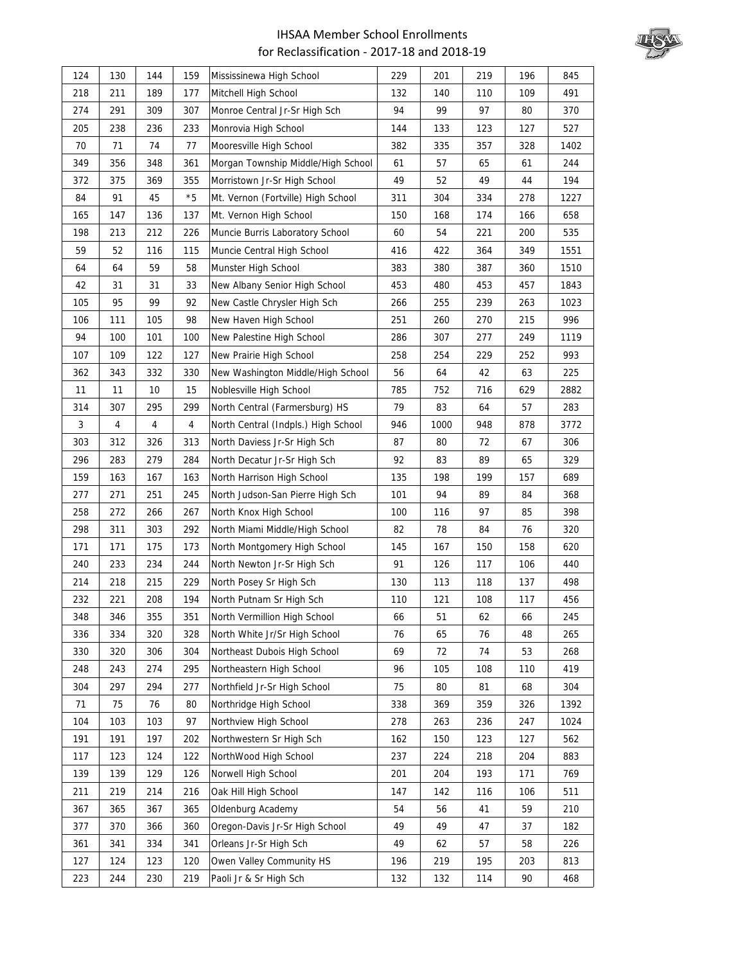![](_page_14_Picture_1.jpeg)

| 124 | 130 | 144 | 159            | Mississinewa High School            | 229 | 201  | 219 | 196 | 845  |
|-----|-----|-----|----------------|-------------------------------------|-----|------|-----|-----|------|
| 218 | 211 | 189 | 177            | Mitchell High School                | 132 | 140  | 110 | 109 | 491  |
| 274 | 291 | 309 | 307            | Monroe Central Jr-Sr High Sch       | 94  | 99   | 97  | 80  | 370  |
| 205 | 238 | 236 | 233            | Monrovia High School                | 144 | 133  | 123 | 127 | 527  |
| 70  | 71  | 74  | 77             | Mooresville High School             | 382 | 335  | 357 | 328 | 1402 |
| 349 | 356 | 348 | 361            | Morgan Township Middle/High School  | 61  | 57   | 65  | 61  | 244  |
| 372 | 375 | 369 | 355            | Morristown Jr-Sr High School        | 49  | 52   | 49  | 44  | 194  |
| 84  | 91  | 45  | $*5$           | Mt. Vernon (Fortville) High School  | 311 | 304  | 334 | 278 | 1227 |
| 165 | 147 | 136 | 137            | Mt. Vernon High School              | 150 | 168  | 174 | 166 | 658  |
| 198 | 213 | 212 | 226            | Muncie Burris Laboratory School     | 60  | 54   | 221 | 200 | 535  |
| 59  | 52  | 116 | 115            | Muncie Central High School          | 416 | 422  | 364 | 349 | 1551 |
| 64  | 64  | 59  | 58             | Munster High School                 | 383 | 380  | 387 | 360 | 1510 |
| 42  | 31  | 31  | 33             | New Albany Senior High School       | 453 | 480  | 453 | 457 | 1843 |
| 105 | 95  | 99  | 92             | New Castle Chrysler High Sch        | 266 | 255  | 239 | 263 | 1023 |
| 106 | 111 | 105 | 98             | New Haven High School               | 251 | 260  | 270 | 215 | 996  |
| 94  | 100 | 101 | 100            | New Palestine High School           | 286 | 307  | 277 | 249 | 1119 |
| 107 | 109 | 122 | 127            | New Prairie High School             | 258 | 254  | 229 | 252 | 993  |
| 362 | 343 | 332 | 330            | New Washington Middle/High School   | 56  | 64   | 42  | 63  | 225  |
| 11  | 11  | 10  | 15             | Noblesville High School             | 785 | 752  | 716 | 629 | 2882 |
| 314 | 307 | 295 | 299            | North Central (Farmersburg) HS      | 79  | 83   | 64  | 57  | 283  |
| 3   | 4   | 4   | $\overline{4}$ | North Central (Indpls.) High School | 946 | 1000 | 948 | 878 | 3772 |
| 303 | 312 | 326 | 313            | North Daviess Jr-Sr High Sch        | 87  | 80   | 72  | 67  | 306  |
| 296 | 283 | 279 | 284            | North Decatur Jr-Sr High Sch        | 92  | 83   | 89  | 65  | 329  |
| 159 | 163 | 167 | 163            | North Harrison High School          | 135 | 198  | 199 | 157 | 689  |
| 277 | 271 | 251 | 245            | North Judson-San Pierre High Sch    | 101 | 94   | 89  | 84  | 368  |
| 258 | 272 | 266 | 267            | North Knox High School              | 100 | 116  | 97  | 85  | 398  |
| 298 | 311 | 303 | 292            | North Miami Middle/High School      | 82  | 78   | 84  | 76  | 320  |
| 171 | 171 | 175 | 173            | North Montgomery High School        | 145 | 167  | 150 | 158 | 620  |
| 240 | 233 | 234 | 244            | North Newton Jr-Sr High Sch         | 91  | 126  | 117 | 106 | 440  |
| 214 | 218 | 215 | 229            | North Posey Sr High Sch             | 130 | 113  | 118 | 137 | 498  |
| 232 | 221 | 208 | 194            | North Putnam Sr High Sch            | 110 | 121  | 108 | 117 | 456  |
| 348 | 346 | 355 | 351            | North Vermillion High School        | 66  | 51   | 62  | 66  | 245  |
| 336 | 334 | 320 | 328            | North White Jr/Sr High School       | 76  | 65   | 76  | 48  | 265  |
| 330 | 320 | 306 | 304            | Northeast Dubois High School        | 69  | 72   | 74  | 53  | 268  |
| 248 | 243 | 274 | 295            | Northeastern High School            | 96  | 105  | 108 | 110 | 419  |
| 304 | 297 | 294 | 277            | Northfield Jr-Sr High School        | 75  | 80   | 81  | 68  | 304  |
| 71  | 75  | 76  | 80             | Northridge High School              | 338 | 369  | 359 | 326 | 1392 |
| 104 | 103 | 103 | 97             | Northview High School               | 278 | 263  | 236 | 247 | 1024 |
| 191 | 191 | 197 | 202            | Northwestern Sr High Sch            | 162 | 150  | 123 | 127 | 562  |
| 117 | 123 | 124 | 122            | NorthWood High School               | 237 | 224  | 218 | 204 | 883  |
| 139 | 139 | 129 | 126            | Norwell High School                 | 201 | 204  | 193 | 171 | 769  |
| 211 | 219 | 214 | 216            | Oak Hill High School                | 147 | 142  | 116 | 106 | 511  |
| 367 | 365 | 367 | 365            | Oldenburg Academy                   | 54  | 56   | 41  | 59  | 210  |
| 377 | 370 | 366 | 360            | Oregon-Davis Jr-Sr High School      | 49  | 49   | 47  | 37  | 182  |
| 361 | 341 | 334 | 341            | Orleans Jr-Sr High Sch              | 49  | 62   | 57  | 58  | 226  |
| 127 | 124 | 123 | 120            | Owen Valley Community HS            | 196 | 219  | 195 | 203 | 813  |
| 223 | 244 | 230 | 219            | Paoli Jr & Sr High Sch              | 132 | 132  | 114 | 90  | 468  |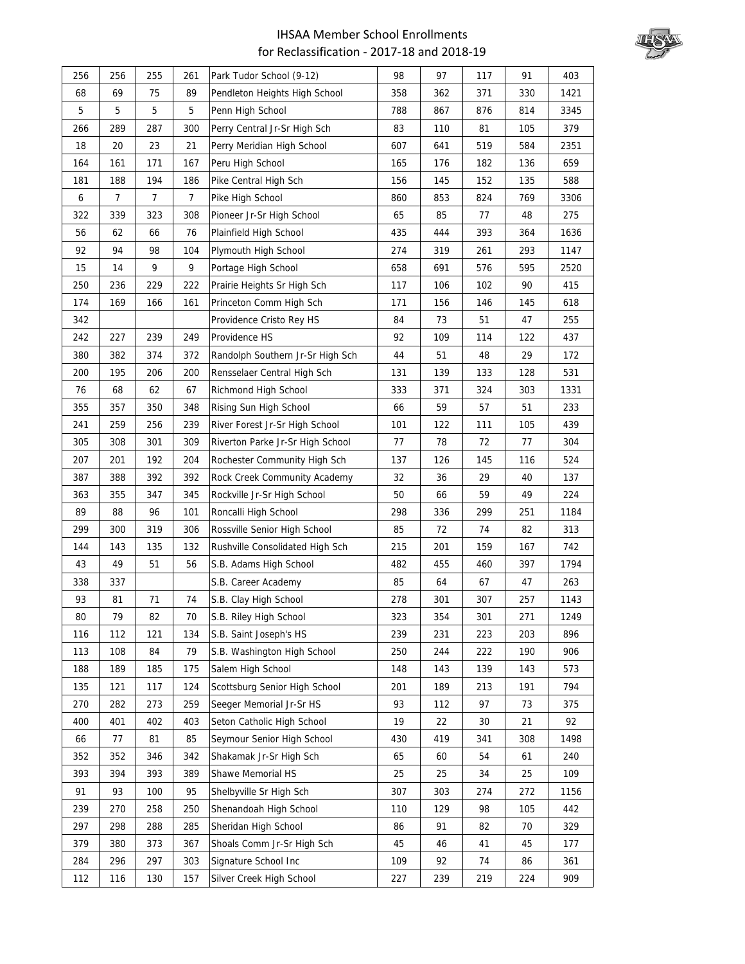![](_page_15_Picture_1.jpeg)

| 256 | 256 | 255 | 261 | Park Tudor School (9-12)         | 98  | 97  | 117 | 91  | 403  |
|-----|-----|-----|-----|----------------------------------|-----|-----|-----|-----|------|
| 68  | 69  | 75  | 89  | Pendleton Heights High School    | 358 | 362 | 371 | 330 | 1421 |
| 5   | 5   | 5   | 5   | Penn High School                 | 788 | 867 | 876 | 814 | 3345 |
| 266 | 289 | 287 | 300 | Perry Central Jr-Sr High Sch     | 83  | 110 | 81  | 105 | 379  |
| 18  | 20  | 23  | 21  | Perry Meridian High School       | 607 | 641 | 519 | 584 | 2351 |
| 164 | 161 | 171 | 167 | Peru High School                 | 165 | 176 | 182 | 136 | 659  |
| 181 | 188 | 194 | 186 | Pike Central High Sch            | 156 | 145 | 152 | 135 | 588  |
| 6   | 7   | 7   | 7   | Pike High School                 | 860 | 853 | 824 | 769 | 3306 |
| 322 | 339 | 323 | 308 | Pioneer Jr-Sr High School        | 65  | 85  | 77  | 48  | 275  |
| 56  | 62  | 66  | 76  | Plainfield High School           | 435 | 444 | 393 | 364 | 1636 |
| 92  | 94  | 98  | 104 | Plymouth High School             | 274 | 319 | 261 | 293 | 1147 |
| 15  | 14  | 9   | 9   | Portage High School              | 658 | 691 | 576 | 595 | 2520 |
| 250 | 236 | 229 | 222 | Prairie Heights Sr High Sch      | 117 | 106 | 102 | 90  | 415  |
| 174 | 169 | 166 | 161 | Princeton Comm High Sch          | 171 | 156 | 146 | 145 | 618  |
| 342 |     |     |     | Providence Cristo Rey HS         | 84  | 73  | 51  | 47  | 255  |
| 242 | 227 | 239 | 249 | Providence HS                    | 92  | 109 | 114 | 122 | 437  |
| 380 | 382 | 374 | 372 | Randolph Southern Jr-Sr High Sch | 44  | 51  | 48  | 29  | 172  |
| 200 | 195 | 206 | 200 | Rensselaer Central High Sch      | 131 | 139 | 133 | 128 | 531  |
| 76  | 68  | 62  | 67  | Richmond High School             | 333 | 371 | 324 | 303 | 1331 |
| 355 | 357 | 350 | 348 | Rising Sun High School           | 66  | 59  | 57  | 51  | 233  |
| 241 | 259 | 256 | 239 | River Forest Jr-Sr High School   | 101 | 122 | 111 | 105 | 439  |
| 305 | 308 | 301 | 309 | Riverton Parke Jr-Sr High School | 77  | 78  | 72  | 77  | 304  |
| 207 | 201 | 192 | 204 | Rochester Community High Sch     | 137 | 126 | 145 | 116 | 524  |
| 387 | 388 | 392 | 392 | Rock Creek Community Academy     | 32  | 36  | 29  | 40  | 137  |
| 363 | 355 | 347 | 345 | Rockville Jr-Sr High School      | 50  | 66  | 59  | 49  | 224  |
| 89  | 88  | 96  | 101 | Roncalli High School             | 298 | 336 | 299 | 251 | 1184 |
| 299 | 300 | 319 | 306 | Rossville Senior High School     | 85  | 72  | 74  | 82  | 313  |
| 144 | 143 | 135 | 132 | Rushville Consolidated High Sch  | 215 | 201 | 159 | 167 | 742  |
| 43  | 49  | 51  | 56  | S.B. Adams High School           | 482 | 455 | 460 | 397 | 1794 |
| 338 | 337 |     |     | S.B. Career Academy              | 85  | 64  | 67  | 47  | 263  |
| 93  | 81  | 71  | 74  | S.B. Clay High School            | 278 | 301 | 307 | 257 | 1143 |
| 80  | 79  | 82  | 70  | S.B. Riley High School           | 323 | 354 | 301 | 271 | 1249 |
| 116 | 112 | 121 | 134 | S.B. Saint Joseph's HS           | 239 | 231 | 223 | 203 | 896  |
| 113 | 108 | 84  | 79  | S.B. Washington High School      | 250 | 244 | 222 | 190 | 906  |
| 188 | 189 | 185 | 175 | Salem High School                | 148 | 143 | 139 | 143 | 573  |
| 135 | 121 | 117 | 124 | Scottsburg Senior High School    | 201 | 189 | 213 | 191 | 794  |
| 270 | 282 | 273 | 259 | Seeger Memorial Jr-Sr HS         | 93  | 112 | 97  | 73  | 375  |
| 400 | 401 | 402 | 403 | Seton Catholic High School       | 19  | 22  | 30  | 21  | 92   |
| 66  | 77  | 81  | 85  | Seymour Senior High School       | 430 | 419 | 341 | 308 | 1498 |
| 352 | 352 | 346 | 342 | Shakamak Jr-Sr High Sch          | 65  | 60  | 54  | 61  | 240  |
| 393 | 394 | 393 | 389 | Shawe Memorial HS                | 25  | 25  | 34  | 25  | 109  |
| 91  | 93  | 100 | 95  | Shelbyville Sr High Sch          | 307 | 303 | 274 | 272 | 1156 |
| 239 | 270 | 258 | 250 | Shenandoah High School           | 110 | 129 | 98  | 105 | 442  |
| 297 | 298 | 288 | 285 | Sheridan High School             | 86  | 91  | 82  | 70  | 329  |
| 379 | 380 | 373 | 367 | Shoals Comm Jr-Sr High Sch       | 45  | 46  | 41  | 45  | 177  |
| 284 | 296 | 297 | 303 | Signature School Inc             | 109 | 92  | 74  | 86  | 361  |
| 112 | 116 | 130 | 157 | Silver Creek High School         | 227 | 239 | 219 | 224 | 909  |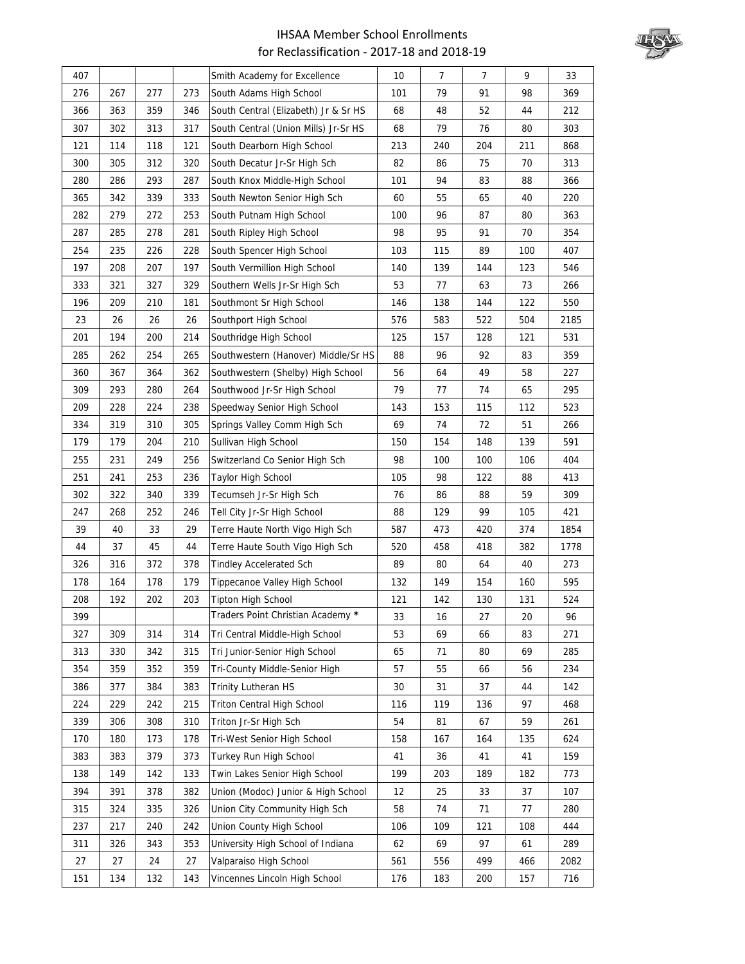![](_page_16_Picture_1.jpeg)

| 407 |     |     |     | Smith Academy for Excellence         | 10  | $\overline{7}$ | $\overline{7}$ | 9   | 33   |
|-----|-----|-----|-----|--------------------------------------|-----|----------------|----------------|-----|------|
| 276 | 267 | 277 | 273 | South Adams High School              | 101 | 79             | 91             | 98  | 369  |
| 366 | 363 | 359 | 346 | South Central (Elizabeth) Jr & Sr HS | 68  | 48             | 52             | 44  | 212  |
| 307 | 302 | 313 | 317 | South Central (Union Mills) Jr-Sr HS | 68  | 79             | 76             | 80  | 303  |
| 121 | 114 | 118 | 121 | South Dearborn High School           | 213 | 240            | 204            | 211 | 868  |
| 300 | 305 | 312 | 320 | South Decatur Jr-Sr High Sch         | 82  | 86             | 75             | 70  | 313  |
| 280 | 286 | 293 | 287 | South Knox Middle-High School        | 101 | 94             | 83             | 88  | 366  |
| 365 | 342 | 339 | 333 | South Newton Senior High Sch         | 60  | 55             | 65             | 40  | 220  |
| 282 | 279 | 272 | 253 | South Putnam High School             | 100 | 96             | 87             | 80  | 363  |
| 287 | 285 | 278 | 281 | South Ripley High School             | 98  | 95             | 91             | 70  | 354  |
| 254 | 235 | 226 | 228 | South Spencer High School            | 103 | 115            | 89             | 100 | 407  |
| 197 | 208 | 207 | 197 | South Vermillion High School         | 140 | 139            | 144            | 123 | 546  |
| 333 | 321 | 327 | 329 | Southern Wells Jr-Sr High Sch        | 53  | 77             | 63             | 73  | 266  |
| 196 | 209 | 210 | 181 | Southmont Sr High School             | 146 | 138            | 144            | 122 | 550  |
| 23  | 26  | 26  | 26  | Southport High School                | 576 | 583            | 522            | 504 | 2185 |
| 201 | 194 | 200 | 214 | Southridge High School               | 125 | 157            | 128            | 121 | 531  |
| 285 | 262 | 254 | 265 | Southwestern (Hanover) Middle/Sr HS  | 88  | 96             | 92             | 83  | 359  |
| 360 | 367 | 364 | 362 | Southwestern (Shelby) High School    | 56  | 64             | 49             | 58  | 227  |
| 309 | 293 | 280 | 264 | Southwood Jr-Sr High School          | 79  | 77             | 74             | 65  | 295  |
| 209 | 228 | 224 | 238 | Speedway Senior High School          | 143 | 153            | 115            | 112 | 523  |
| 334 | 319 | 310 | 305 | Springs Valley Comm High Sch         | 69  | 74             | 72             | 51  | 266  |
| 179 | 179 | 204 | 210 | Sullivan High School                 | 150 | 154            | 148            | 139 | 591  |
| 255 | 231 | 249 | 256 | Switzerland Co Senior High Sch       | 98  | 100            | 100            | 106 | 404  |
| 251 | 241 | 253 | 236 | Taylor High School                   | 105 | 98             | 122            | 88  | 413  |
| 302 | 322 | 340 | 339 | Tecumseh Jr-Sr High Sch              | 76  | 86             | 88             | 59  | 309  |
| 247 | 268 | 252 | 246 | Tell City Jr-Sr High School          | 88  | 129            | 99             | 105 | 421  |
| 39  | 40  | 33  | 29  | Terre Haute North Vigo High Sch      | 587 | 473            | 420            | 374 | 1854 |
| 44  | 37  | 45  | 44  | Terre Haute South Vigo High Sch      | 520 | 458            | 418            | 382 | 1778 |
| 326 | 316 | 372 | 378 | <b>Tindley Accelerated Sch</b>       | 89  | 80             | 64             | 40  | 273  |
| 178 | 164 | 178 | 179 | Tippecanoe Valley High School        | 132 | 149            | 154            | 160 | 595  |
| 208 | 192 | 202 | 203 | Tipton High School                   | 121 | 142            | 130            | 131 | 524  |
| 399 |     |     |     | Traders Point Christian Academy *    | 33  | 16             | 27             | 20  | 96   |
| 327 | 309 | 314 | 314 | Tri Central Middle-High School       | 53  | 69             | 66             | 83  | 271  |
| 313 | 330 | 342 | 315 | Tri Junior-Senior High School        | 65  | 71             | 80             | 69  | 285  |
| 354 | 359 | 352 | 359 | Tri-County Middle-Senior High        | 57  | 55             | 66             | 56  | 234  |
| 386 | 377 | 384 | 383 | Trinity Lutheran HS                  | 30  | 31             | 37             | 44  | 142  |
| 224 | 229 | 242 | 215 | <b>Triton Central High School</b>    | 116 | 119            | 136            | 97  | 468  |
| 339 | 306 | 308 | 310 | Triton Jr-Sr High Sch                | 54  | 81             | 67             | 59  | 261  |
| 170 | 180 | 173 | 178 | Tri-West Senior High School          | 158 | 167            | 164            | 135 | 624  |
| 383 | 383 | 379 | 373 | Turkey Run High School               | 41  | 36             | 41             | 41  | 159  |
| 138 | 149 | 142 | 133 | Twin Lakes Senior High School        | 199 | 203            | 189            | 182 | 773  |
| 394 | 391 | 378 | 382 | Union (Modoc) Junior & High School   | 12  | 25             | 33             | 37  | 107  |
| 315 | 324 | 335 | 326 | Union City Community High Sch        | 58  | 74             | 71             | 77  | 280  |
| 237 | 217 | 240 | 242 | Union County High School             | 106 | 109            | 121            | 108 | 444  |
| 311 | 326 | 343 | 353 | University High School of Indiana    | 62  | 69             | 97             | 61  | 289  |
| 27  | 27  | 24  | 27  | Valparaiso High School               | 561 | 556            | 499            | 466 | 2082 |
| 151 | 134 | 132 | 143 | Vincennes Lincoln High School        | 176 | 183            | 200            | 157 | 716  |